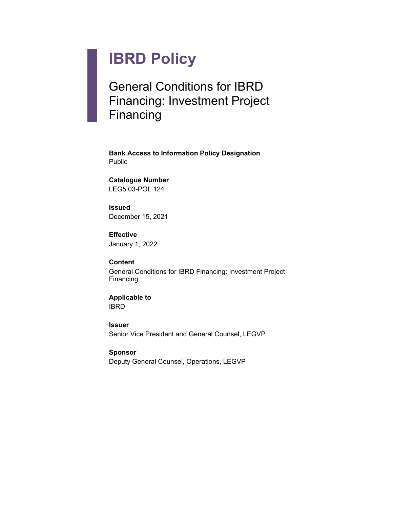# **IBRD Policy**

# General Conditions for IBRD Financing: Investment Project Financing

**Bank Access to Information Policy Designation** Public

**Catalogue Number** LEG5.03-POL.124

**Issued** December 15, 2021

**Effective** January 1, 2022

**Content** General Conditions for IBRD Financing: Investment Project Financing

**Applicable to** IBRD

**Issuer** Senior Vice President and General Counsel, LEGVP

**Sponsor** Deputy General Counsel, Operations, LEGVP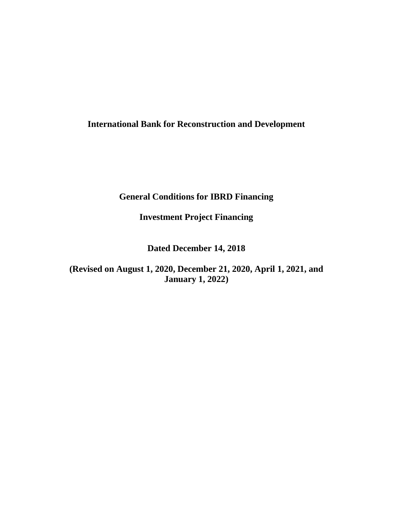## **International Bank for Reconstruction and Development**

# **General Conditions for IBRD Financing**

**Investment Project Financing**

**Dated December 14, 2018**

**(Revised on August 1, 2020, December 21, 2020, April 1, 2021, and January 1, 2022)**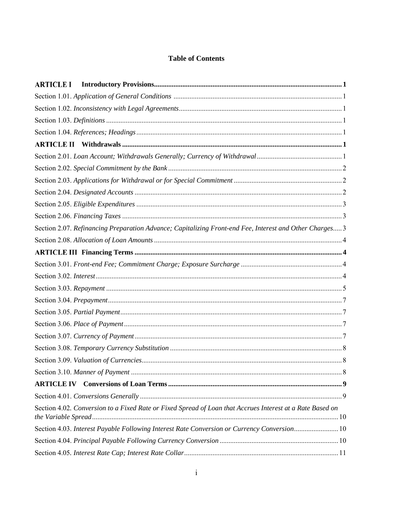## **Table of Contents**

| <b>ARTICLE I</b>                                                                                          |  |
|-----------------------------------------------------------------------------------------------------------|--|
|                                                                                                           |  |
|                                                                                                           |  |
|                                                                                                           |  |
|                                                                                                           |  |
|                                                                                                           |  |
|                                                                                                           |  |
|                                                                                                           |  |
|                                                                                                           |  |
|                                                                                                           |  |
|                                                                                                           |  |
|                                                                                                           |  |
| Section 2.07. Refinancing Preparation Advance; Capitalizing Front-end Fee, Interest and Other Charges 3   |  |
|                                                                                                           |  |
|                                                                                                           |  |
|                                                                                                           |  |
|                                                                                                           |  |
|                                                                                                           |  |
|                                                                                                           |  |
|                                                                                                           |  |
|                                                                                                           |  |
|                                                                                                           |  |
|                                                                                                           |  |
|                                                                                                           |  |
|                                                                                                           |  |
|                                                                                                           |  |
|                                                                                                           |  |
| Section 4.02. Conversion to a Fixed Rate or Fixed Spread of Loan that Accrues Interest at a Rate Based on |  |
| Section 4.03. Interest Payable Following Interest Rate Conversion or Currency Conversion10                |  |
|                                                                                                           |  |
|                                                                                                           |  |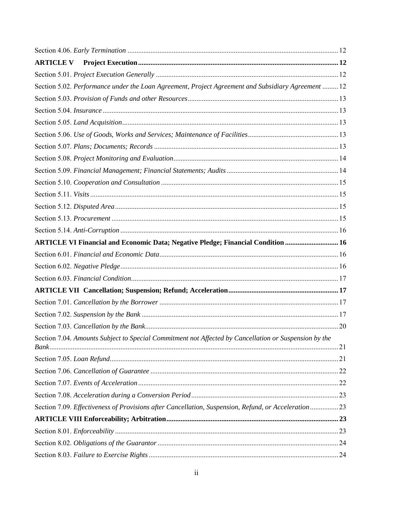| Section 5.02. Performance under the Loan Agreement, Project Agreement and Subsidiary Agreement  12    |  |
|-------------------------------------------------------------------------------------------------------|--|
|                                                                                                       |  |
|                                                                                                       |  |
|                                                                                                       |  |
|                                                                                                       |  |
|                                                                                                       |  |
|                                                                                                       |  |
|                                                                                                       |  |
|                                                                                                       |  |
|                                                                                                       |  |
|                                                                                                       |  |
|                                                                                                       |  |
|                                                                                                       |  |
| ARTICLE VI Financial and Economic Data; Negative Pledge; Financial Condition  16                      |  |
|                                                                                                       |  |
|                                                                                                       |  |
|                                                                                                       |  |
|                                                                                                       |  |
|                                                                                                       |  |
|                                                                                                       |  |
|                                                                                                       |  |
| Section 7.04. Amounts Subject to Special Commitment not Affected by Cancellation or Suspension by the |  |
|                                                                                                       |  |
|                                                                                                       |  |
|                                                                                                       |  |
|                                                                                                       |  |
|                                                                                                       |  |
| Section 7.09. Effectiveness of Provisions after Cancellation, Suspension, Refund, or Acceleration23   |  |
|                                                                                                       |  |
|                                                                                                       |  |
|                                                                                                       |  |
|                                                                                                       |  |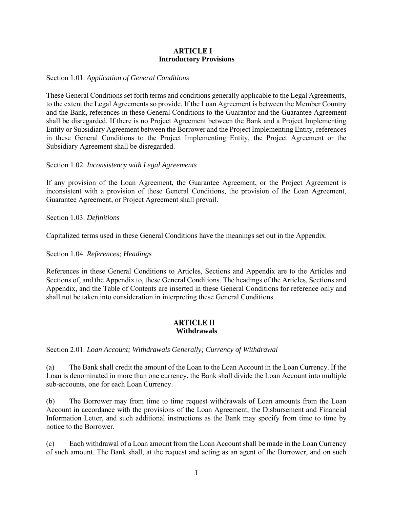#### **ARTICLE I Introductory Provisions**

#### <span id="page-5-1"></span><span id="page-5-0"></span>Section 1.01. *Application of General Conditions*

These General Conditions set forth terms and conditions generally applicable to the Legal Agreements, to the extent the Legal Agreements so provide. If the Loan Agreement is between the Member Country and the Bank, references in these General Conditions to the Guarantor and the Guarantee Agreement shall be disregarded. If there is no Project Agreement between the Bank and a Project Implementing Entity or Subsidiary Agreement between the Borrower and the Project Implementing Entity, references in these General Conditions to the Project Implementing Entity, the Project Agreement or the Subsidiary Agreement shall be disregarded.

#### <span id="page-5-2"></span>Section 1.02. *Inconsistency with Legal Agreements*

If any provision of the Loan Agreement, the Guarantee Agreement, or the Project Agreement is inconsistent with a provision of these General Conditions, the provision of the Loan Agreement, Guarantee Agreement, or Project Agreement shall prevail.

<span id="page-5-3"></span>Section 1.03. *Definitions*

Capitalized terms used in these General Conditions have the meanings set out in the Appendix.

<span id="page-5-4"></span>Section 1.04. *References; Headings*

References in these General Conditions to Articles, Sections and Appendix are to the Articles and Sections of, and the Appendix to, these General Conditions. The headings of the Articles, Sections and Appendix, and the Table of Contents are inserted in these General Conditions for reference only and shall not be taken into consideration in interpreting these General Conditions.

#### **ARTICLE II Withdrawals**

<span id="page-5-6"></span><span id="page-5-5"></span>Section 2.01. *Loan Account; Withdrawals Generally; Currency of Withdrawal*

(a) The Bank shall credit the amount of the Loan to the Loan Account in the Loan Currency. If the Loan is denominated in more than one currency, the Bank shall divide the Loan Account into multiple sub-accounts, one for each Loan Currency.

(b) The Borrower may from time to time request withdrawals of Loan amounts from the Loan Account in accordance with the provisions of the Loan Agreement, the Disbursement and Financial Information Letter, and such additional instructions as the Bank may specify from time to time by notice to the Borrower.

(c) Each withdrawal of a Loan amount from the Loan Account shall be made in the Loan Currency of such amount. The Bank shall, at the request and acting as an agent of the Borrower, and on such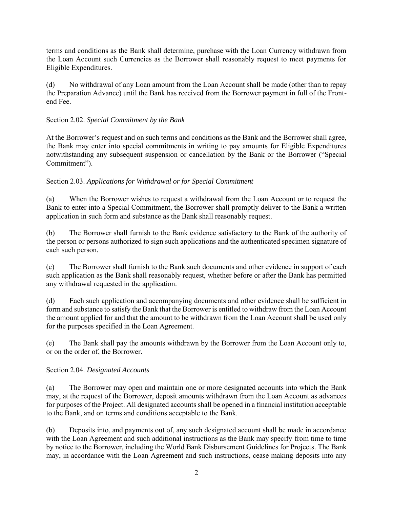terms and conditions as the Bank shall determine, purchase with the Loan Currency withdrawn from the Loan Account such Currencies as the Borrower shall reasonably request to meet payments for Eligible Expenditures.

(d) No withdrawal of any Loan amount from the Loan Account shall be made (other than to repay the Preparation Advance) until the Bank has received from the Borrower payment in full of the Frontend Fee.

#### <span id="page-6-0"></span>Section 2.02. *Special Commitment by the Bank*

At the Borrower's request and on such terms and conditions as the Bank and the Borrower shall agree, the Bank may enter into special commitments in writing to pay amounts for Eligible Expenditures notwithstanding any subsequent suspension or cancellation by the Bank or the Borrower ("Special Commitment").

#### <span id="page-6-1"></span>Section 2.03. *Applications for Withdrawal or for Special Commitment*

(a) When the Borrower wishes to request a withdrawal from the Loan Account or to request the Bank to enter into a Special Commitment, the Borrower shall promptly deliver to the Bank a written application in such form and substance as the Bank shall reasonably request.

(b) The Borrower shall furnish to the Bank evidence satisfactory to the Bank of the authority of the person or persons authorized to sign such applications and the authenticated specimen signature of each such person.

(c) The Borrower shall furnish to the Bank such documents and other evidence in support of each such application as the Bank shall reasonably request, whether before or after the Bank has permitted any withdrawal requested in the application.

(d) Each such application and accompanying documents and other evidence shall be sufficient in form and substance to satisfy the Bank that the Borrower is entitled to withdraw from the Loan Account the amount applied for and that the amount to be withdrawn from the Loan Account shall be used only for the purposes specified in the Loan Agreement.

(e) The Bank shall pay the amounts withdrawn by the Borrower from the Loan Account only to, or on the order of, the Borrower.

#### <span id="page-6-2"></span>Section 2.04. *Designated Accounts*

(a) The Borrower may open and maintain one or more designated accounts into which the Bank may, at the request of the Borrower, deposit amounts withdrawn from the Loan Account as advances for purposes of the Project. All designated accounts shall be opened in a financial institution acceptable to the Bank, and on terms and conditions acceptable to the Bank.

(b) Deposits into, and payments out of, any such designated account shall be made in accordance with the Loan Agreement and such additional instructions as the Bank may specify from time to time by notice to the Borrower, including the World Bank Disbursement Guidelines for Projects. The Bank may, in accordance with the Loan Agreement and such instructions, cease making deposits into any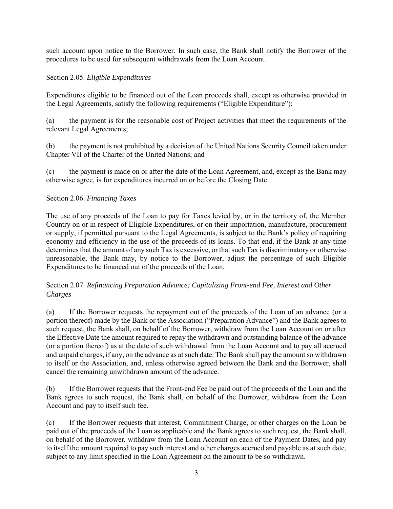such account upon notice to the Borrower. In such case, the Bank shall notify the Borrower of the procedures to be used for subsequent withdrawals from the Loan Account.

#### <span id="page-7-0"></span>Section 2.05. *Eligible Expenditures*

Expenditures eligible to be financed out of the Loan proceeds shall, except as otherwise provided in the Legal Agreements, satisfy the following requirements ("Eligible Expenditure"):

(a) the payment is for the reasonable cost of Project activities that meet the requirements of the relevant Legal Agreements;

(b) the payment is not prohibited by a decision of the United Nations Security Council taken under Chapter VII of the Charter of the United Nations; and

(c) the payment is made on or after the date of the Loan Agreement, and, except as the Bank may otherwise agree, is for expenditures incurred on or before the Closing Date.

#### <span id="page-7-1"></span>Section 2.06. *Financing Taxes*

The use of any proceeds of the Loan to pay for Taxes levied by, or in the territory of, the Member Country on or in respect of Eligible Expenditures, or on their importation, manufacture, procurement or supply, if permitted pursuant to the Legal Agreements, is subject to the Bank's policy of requiring economy and efficiency in the use of the proceeds of its loans. To that end, if the Bank at any time determines that the amount of any such Tax is excessive, or that such Tax is discriminatory or otherwise unreasonable, the Bank may, by notice to the Borrower, adjust the percentage of such Eligible Expenditures to be financed out of the proceeds of the Loan.

#### <span id="page-7-2"></span>Section 2.07. *Refinancing Preparation Advance; Capitalizing Front-end Fee, Interest and Other Charges*

(a) If the Borrower requests the repayment out of the proceeds of the Loan of an advance (or a portion thereof) made by the Bank or the Association ("Preparation Advance") and the Bank agrees to such request, the Bank shall, on behalf of the Borrower, withdraw from the Loan Account on or after the Effective Date the amount required to repay the withdrawn and outstanding balance of the advance (or a portion thereof) as at the date of such withdrawal from the Loan Account and to pay all accrued and unpaid charges, if any, on the advance as at such date. The Bank shall pay the amount so withdrawn to itself or the Association, and, unless otherwise agreed between the Bank and the Borrower, shall cancel the remaining unwithdrawn amount of the advance.

(b) If the Borrower requests that the Front-end Fee be paid out of the proceeds of the Loan and the Bank agrees to such request, the Bank shall, on behalf of the Borrower, withdraw from the Loan Account and pay to itself such fee.

(c) If the Borrower requests that interest, Commitment Charge, or other charges on the Loan be paid out of the proceeds of the Loan as applicable and the Bank agrees to such request, the Bank shall, on behalf of the Borrower, withdraw from the Loan Account on each of the Payment Dates, and pay to itself the amount required to pay such interest and other charges accrued and payable as at such date, subject to any limit specified in the Loan Agreement on the amount to be so withdrawn.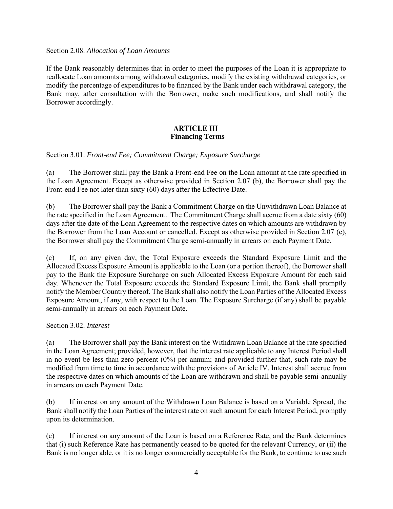#### <span id="page-8-0"></span>Section 2.08. *Allocation of Loan Amounts*

If the Bank reasonably determines that in order to meet the purposes of the Loan it is appropriate to reallocate Loan amounts among withdrawal categories, modify the existing withdrawal categories, or modify the percentage of expenditures to be financed by the Bank under each withdrawal category, the Bank may, after consultation with the Borrower, make such modifications, and shall notify the Borrower accordingly.

#### <span id="page-8-1"></span>**ARTICLE III Financing Terms**

<span id="page-8-2"></span>Section 3.01. *Front-end Fee; Commitment Charge; Exposure Surcharge*

(a) The Borrower shall pay the Bank a Front-end Fee on the Loan amount at the rate specified in the Loan Agreement. Except as otherwise provided in Section 2.07 (b), the Borrower shall pay the Front-end Fee not later than sixty (60) days after the Effective Date.

(b) The Borrower shall pay the Bank a Commitment Charge on the Unwithdrawn Loan Balance at the rate specified in the Loan Agreement. The Commitment Charge shall accrue from a date sixty (60) days after the date of the Loan Agreement to the respective dates on which amounts are withdrawn by the Borrower from the Loan Account or cancelled. Except as otherwise provided in Section 2.07 (c), the Borrower shall pay the Commitment Charge semi-annually in arrears on each Payment Date.

(c) If, on any given day, the Total Exposure exceeds the Standard Exposure Limit and the Allocated Excess Exposure Amount is applicable to the Loan (or a portion thereof), the Borrower shall pay to the Bank the Exposure Surcharge on such Allocated Excess Exposure Amount for each said day. Whenever the Total Exposure exceeds the Standard Exposure Limit, the Bank shall promptly notify the Member Country thereof. The Bank shall also notify the Loan Parties of the Allocated Excess Exposure Amount, if any, with respect to the Loan. The Exposure Surcharge (if any) shall be payable semi-annually in arrears on each Payment Date.

<span id="page-8-3"></span>Section 3.02. *Interest*

(a) The Borrower shall pay the Bank interest on the Withdrawn Loan Balance at the rate specified in the Loan Agreement; provided, however, that the interest rate applicable to any Interest Period shall in no event be less than zero percent  $(0\%)$  per annum; and provided further that, such rate may be modified from time to time in accordance with the provisions of Article IV. Interest shall accrue from the respective dates on which amounts of the Loan are withdrawn and shall be payable semi-annually in arrears on each Payment Date.

(b) If interest on any amount of the Withdrawn Loan Balance is based on a Variable Spread, the Bank shall notify the Loan Parties of the interest rate on such amount for each Interest Period, promptly upon its determination.

(c) If interest on any amount of the Loan is based on a Reference Rate, and the Bank determines that (i) such Reference Rate has permanently ceased to be quoted for the relevant Currency, or (ii) the Bank is no longer able, or it is no longer commercially acceptable for the Bank, to continue to use such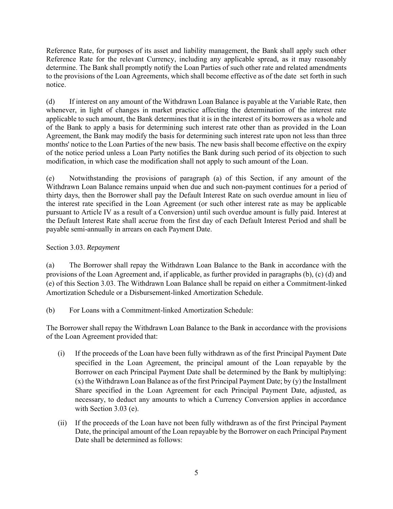Reference Rate, for purposes of its asset and liability management, the Bank shall apply such other Reference Rate for the relevant Currency, including any applicable spread, as it may reasonably determine. The Bank shall promptly notify the Loan Parties of such other rate and related amendments to the provisions of the Loan Agreements, which shall become effective as of the date set forth in such notice.

(d) If interest on any amount of the Withdrawn Loan Balance is payable at the Variable Rate, then whenever, in light of changes in market practice affecting the determination of the interest rate applicable to such amount, the Bank determines that it is in the interest of its borrowers as a whole and of the Bank to apply a basis for determining such interest rate other than as provided in the Loan Agreement, the Bank may modify the basis for determining such interest rate upon not less than three months' notice to the Loan Parties of the new basis. The new basis shall become effective on the expiry of the notice period unless a Loan Party notifies the Bank during such period of its objection to such modification, in which case the modification shall not apply to such amount of the Loan.

(e) Notwithstanding the provisions of paragraph (a) of this Section, if any amount of the Withdrawn Loan Balance remains unpaid when due and such non-payment continues for a period of thirty days, then the Borrower shall pay the Default Interest Rate on such overdue amount in lieu of the interest rate specified in the Loan Agreement (or such other interest rate as may be applicable pursuant to Article IV as a result of a Conversion) until such overdue amount is fully paid. Interest at the Default Interest Rate shall accrue from the first day of each Default Interest Period and shall be payable semi-annually in arrears on each Payment Date.

#### <span id="page-9-0"></span>Section 3.03. *Repayment*

(a) The Borrower shall repay the Withdrawn Loan Balance to the Bank in accordance with the provisions of the Loan Agreement and, if applicable, as further provided in paragraphs (b), (c) (d) and (e) of this Section 3.03. The Withdrawn Loan Balance shall be repaid on either a Commitment-linked Amortization Schedule or a Disbursement-linked Amortization Schedule.

(b) For Loans with a Commitment-linked Amortization Schedule:

The Borrower shall repay the Withdrawn Loan Balance to the Bank in accordance with the provisions of the Loan Agreement provided that:

- (i) If the proceeds of the Loan have been fully withdrawn as of the first Principal Payment Date specified in the Loan Agreement, the principal amount of the Loan repayable by the Borrower on each Principal Payment Date shall be determined by the Bank by multiplying: (x) the Withdrawn Loan Balance as of the first Principal Payment Date; by (y) the Installment Share specified in the Loan Agreement for each Principal Payment Date, adjusted, as necessary, to deduct any amounts to which a Currency Conversion applies in accordance with Section 3.03 (e).
- (ii) If the proceeds of the Loan have not been fully withdrawn as of the first Principal Payment Date, the principal amount of the Loan repayable by the Borrower on each Principal Payment Date shall be determined as follows: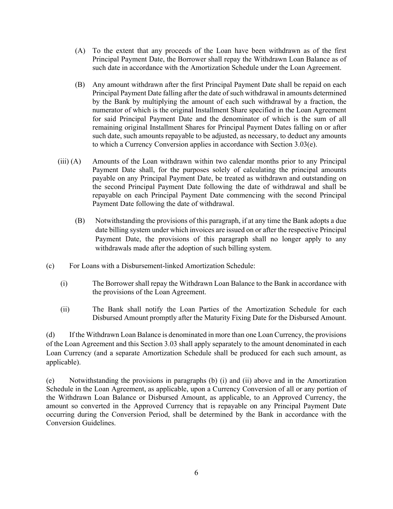- (A) To the extent that any proceeds of the Loan have been withdrawn as of the first Principal Payment Date, the Borrower shall repay the Withdrawn Loan Balance as of such date in accordance with the Amortization Schedule under the Loan Agreement.
- (B) Any amount withdrawn after the first Principal Payment Date shall be repaid on each Principal Payment Date falling after the date of such withdrawal in amounts determined by the Bank by multiplying the amount of each such withdrawal by a fraction, the numerator of which is the original Installment Share specified in the Loan Agreement for said Principal Payment Date and the denominator of which is the sum of all remaining original Installment Shares for Principal Payment Dates falling on or after such date, such amounts repayable to be adjusted, as necessary, to deduct any amounts to which a Currency Conversion applies in accordance with Section 3.03(e).
- (iii) (A) Amounts of the Loan withdrawn within two calendar months prior to any Principal Payment Date shall, for the purposes solely of calculating the principal amounts payable on any Principal Payment Date, be treated as withdrawn and outstanding on the second Principal Payment Date following the date of withdrawal and shall be repayable on each Principal Payment Date commencing with the second Principal Payment Date following the date of withdrawal.
	- (B) Notwithstanding the provisions of this paragraph, if at any time the Bank adopts a due date billing system under which invoices are issued on or after the respective Principal Payment Date, the provisions of this paragraph shall no longer apply to any withdrawals made after the adoption of such billing system.
- (c) For Loans with a Disbursement-linked Amortization Schedule:
	- (i) The Borrower shall repay the Withdrawn Loan Balance to the Bank in accordance with the provisions of the Loan Agreement.
	- (ii) The Bank shall notify the Loan Parties of the Amortization Schedule for each Disbursed Amount promptly after the Maturity Fixing Date for the Disbursed Amount.

(d) If the Withdrawn Loan Balance is denominated in more than one Loan Currency, the provisions of the Loan Agreement and this Section 3.03 shall apply separately to the amount denominated in each Loan Currency (and a separate Amortization Schedule shall be produced for each such amount, as applicable).

(e) Notwithstanding the provisions in paragraphs (b) (i) and (ii) above and in the Amortization Schedule in the Loan Agreement, as applicable, upon a Currency Conversion of all or any portion of the Withdrawn Loan Balance or Disbursed Amount, as applicable, to an Approved Currency, the amount so converted in the Approved Currency that is repayable on any Principal Payment Date occurring during the Conversion Period, shall be determined by the Bank in accordance with the Conversion Guidelines.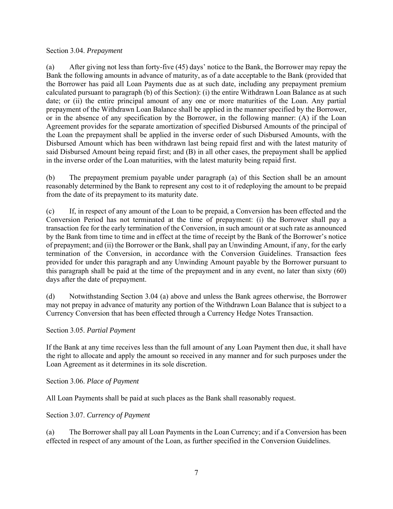#### <span id="page-11-0"></span>Section 3.04. *Prepayment*

(a) After giving not less than forty-five (45) days' notice to the Bank, the Borrower may repay the Bank the following amounts in advance of maturity, as of a date acceptable to the Bank (provided that the Borrower has paid all Loan Payments due as at such date, including any prepayment premium calculated pursuant to paragraph (b) of this Section): (i) the entire Withdrawn Loan Balance as at such date; or (ii) the entire principal amount of any one or more maturities of the Loan. Any partial prepayment of the Withdrawn Loan Balance shall be applied in the manner specified by the Borrower, or in the absence of any specification by the Borrower, in the following manner: (A) if the Loan Agreement provides for the separate amortization of specified Disbursed Amounts of the principal of the Loan the prepayment shall be applied in the inverse order of such Disbursed Amounts, with the Disbursed Amount which has been withdrawn last being repaid first and with the latest maturity of said Disbursed Amount being repaid first; and (B) in all other cases, the prepayment shall be applied in the inverse order of the Loan maturities, with the latest maturity being repaid first.

(b) The prepayment premium payable under paragraph (a) of this Section shall be an amount reasonably determined by the Bank to represent any cost to it of redeploying the amount to be prepaid from the date of its prepayment to its maturity date.

(c) If, in respect of any amount of the Loan to be prepaid, a Conversion has been effected and the Conversion Period has not terminated at the time of prepayment: (i) the Borrower shall pay a transaction fee for the early termination of the Conversion, in such amount or at such rate as announced by the Bank from time to time and in effect at the time of receipt by the Bank of the Borrower's notice of prepayment; and (ii) the Borrower or the Bank, shall pay an Unwinding Amount, if any, for the early termination of the Conversion, in accordance with the Conversion Guidelines. Transaction fees provided for under this paragraph and any Unwinding Amount payable by the Borrower pursuant to this paragraph shall be paid at the time of the prepayment and in any event, no later than sixty (60) days after the date of prepayment.

(d) Notwithstanding Section 3.04 (a) above and unless the Bank agrees otherwise, the Borrower may not prepay in advance of maturity any portion of the Withdrawn Loan Balance that is subject to a Currency Conversion that has been effected through a Currency Hedge Notes Transaction.

#### <span id="page-11-1"></span>Section 3.05. *Partial Payment*

If the Bank at any time receives less than the full amount of any Loan Payment then due, it shall have the right to allocate and apply the amount so received in any manner and for such purposes under the Loan Agreement as it determines in its sole discretion.

<span id="page-11-2"></span>Section 3.06. *Place of Payment*

All Loan Payments shall be paid at such places as the Bank shall reasonably request.

<span id="page-11-3"></span>Section 3.07. *Currency of Payment*

(a) The Borrower shall pay all Loan Payments in the Loan Currency; and if a Conversion has been effected in respect of any amount of the Loan, as further specified in the Conversion Guidelines.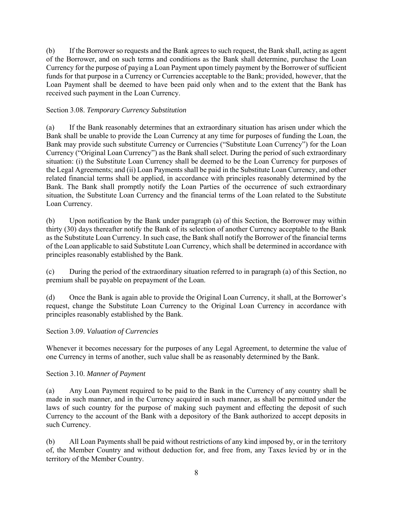(b) If the Borrower so requests and the Bank agrees to such request, the Bank shall, acting as agent of the Borrower, and on such terms and conditions as the Bank shall determine, purchase the Loan Currency for the purpose of paying a Loan Payment upon timely payment by the Borrower of sufficient funds for that purpose in a Currency or Currencies acceptable to the Bank; provided, however, that the Loan Payment shall be deemed to have been paid only when and to the extent that the Bank has received such payment in the Loan Currency.

#### <span id="page-12-0"></span>Section 3.08. *Temporary Currency Substitution*

(a) If the Bank reasonably determines that an extraordinary situation has arisen under which the Bank shall be unable to provide the Loan Currency at any time for purposes of funding the Loan, the Bank may provide such substitute Currency or Currencies ("Substitute Loan Currency") for the Loan Currency ("Original Loan Currency") as the Bank shall select. During the period of such extraordinary situation: (i) the Substitute Loan Currency shall be deemed to be the Loan Currency for purposes of the Legal Agreements; and (ii) Loan Payments shall be paid in the Substitute Loan Currency, and other related financial terms shall be applied, in accordance with principles reasonably determined by the Bank. The Bank shall promptly notify the Loan Parties of the occurrence of such extraordinary situation, the Substitute Loan Currency and the financial terms of the Loan related to the Substitute Loan Currency.

(b) Upon notification by the Bank under paragraph (a) of this Section, the Borrower may within thirty (30) days thereafter notify the Bank of its selection of another Currency acceptable to the Bank as the Substitute Loan Currency. In such case, the Bank shall notify the Borrower of the financial terms of the Loan applicable to said Substitute Loan Currency, which shall be determined in accordance with principles reasonably established by the Bank.

(c) During the period of the extraordinary situation referred to in paragraph (a) of this Section, no premium shall be payable on prepayment of the Loan.

(d) Once the Bank is again able to provide the Original Loan Currency, it shall, at the Borrower's request, change the Substitute Loan Currency to the Original Loan Currency in accordance with principles reasonably established by the Bank.

#### <span id="page-12-1"></span>Section 3.09. *Valuation of Currencies*

Whenever it becomes necessary for the purposes of any Legal Agreement, to determine the value of one Currency in terms of another, such value shall be as reasonably determined by the Bank.

#### <span id="page-12-2"></span>Section 3.10. *Manner of Payment*

(a) Any Loan Payment required to be paid to the Bank in the Currency of any country shall be made in such manner, and in the Currency acquired in such manner, as shall be permitted under the laws of such country for the purpose of making such payment and effecting the deposit of such Currency to the account of the Bank with a depository of the Bank authorized to accept deposits in such Currency.

(b) All Loan Payments shall be paid without restrictions of any kind imposed by, or in the territory of, the Member Country and without deduction for, and free from, any Taxes levied by or in the territory of the Member Country.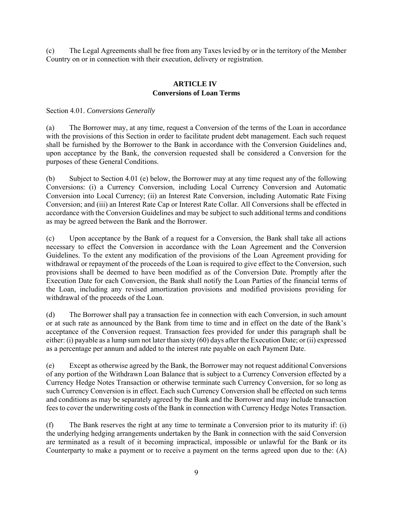<span id="page-13-0"></span>(c) The Legal Agreements shall be free from any Taxes levied by or in the territory of the Member Country on or in connection with their execution, delivery or registration.

#### **ARTICLE IV Conversions of Loan Terms**

<span id="page-13-1"></span>Section 4.01. *Conversions Generally*

(a) The Borrower may, at any time, request a Conversion of the terms of the Loan in accordance with the provisions of this Section in order to facilitate prudent debt management. Each such request shall be furnished by the Borrower to the Bank in accordance with the Conversion Guidelines and, upon acceptance by the Bank, the conversion requested shall be considered a Conversion for the purposes of these General Conditions.

(b) Subject to Section 4.01 (e) below, the Borrower may at any time request any of the following Conversions: (i) a Currency Conversion, including Local Currency Conversion and Automatic Conversion into Local Currency; (ii) an Interest Rate Conversion, including Automatic Rate Fixing Conversion; and (iii) an Interest Rate Cap or Interest Rate Collar. All Conversions shall be effected in accordance with the Conversion Guidelines and may be subject to such additional terms and conditions as may be agreed between the Bank and the Borrower.

(c) Upon acceptance by the Bank of a request for a Conversion, the Bank shall take all actions necessary to effect the Conversion in accordance with the Loan Agreement and the Conversion Guidelines. To the extent any modification of the provisions of the Loan Agreement providing for withdrawal or repayment of the proceeds of the Loan is required to give effect to the Conversion, such provisions shall be deemed to have been modified as of the Conversion Date. Promptly after the Execution Date for each Conversion, the Bank shall notify the Loan Parties of the financial terms of the Loan, including any revised amortization provisions and modified provisions providing for withdrawal of the proceeds of the Loan.

(d) The Borrower shall pay a transaction fee in connection with each Conversion, in such amount or at such rate as announced by the Bank from time to time and in effect on the date of the Bank's acceptance of the Conversion request. Transaction fees provided for under this paragraph shall be either: (i) payable as a lump sum not later than sixty (60) days after the Execution Date; or (ii) expressed as a percentage per annum and added to the interest rate payable on each Payment Date.

(e) Except as otherwise agreed by the Bank, the Borrower may not request additional Conversions of any portion of the Withdrawn Loan Balance that is subject to a Currency Conversion effected by a Currency Hedge Notes Transaction or otherwise terminate such Currency Conversion, for so long as such Currency Conversion is in effect. Each such Currency Conversion shall be effected on such terms and conditions as may be separately agreed by the Bank and the Borrower and may include transaction fees to cover the underwriting costs of the Bank in connection with Currency Hedge Notes Transaction.

(f) The Bank reserves the right at any time to terminate a Conversion prior to its maturity if: (i) the underlying hedging arrangements undertaken by the Bank in connection with the said Conversion are terminated as a result of it becoming impractical, impossible or unlawful for the Bank or its Counterparty to make a payment or to receive a payment on the terms agreed upon due to the: (A)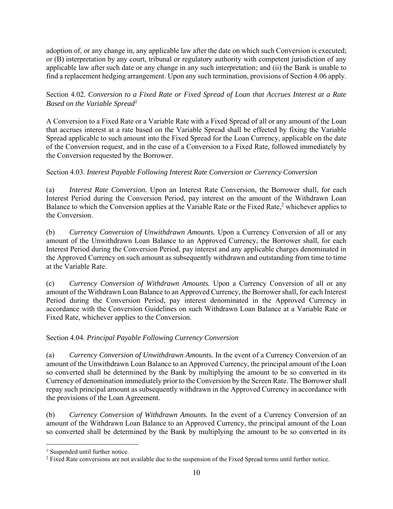adoption of, or any change in, any applicable law after the date on which such Conversion is executed; or (B) interpretation by any court, tribunal or regulatory authority with competent jurisdiction of any applicable law after such date or any change in any such interpretation; and (ii) the Bank is unable to find a replacement hedging arrangement. Upon any such termination, provisions of Section 4.06 apply.

<span id="page-14-0"></span>Section 4.02*. Conversion to a Fixed Rate or Fixed Spread of Loan that Accrues Interest at a Rate Based on the Variable Spread<sup>1</sup>*

A Conversion to a Fixed Rate or a Variable Rate with a Fixed Spread of all or any amount of the Loan that accrues interest at a rate based on the Variable Spread shall be effected by fixing the Variable Spread applicable to such amount into the Fixed Spread for the Loan Currency, applicable on the date of the Conversion request, and in the case of a Conversion to a Fixed Rate, followed immediately by the Conversion requested by the Borrower.

#### <span id="page-14-1"></span>Section 4.03. *Interest Payable Following Interest Rate Conversion or Currency Conversion*

(a) *Interest Rate Conversion.* Upon an Interest Rate Conversion, the Borrower shall, for each Interest Period during the Conversion Period, pay interest on the amount of the Withdrawn Loan Balance to which the Conversion applies at the Variable Rate or the Fixed Rate,<sup>2</sup> whichever applies to the Conversion.

(b) *Currency Conversion of Unwithdrawn Amounts.* Upon a Currency Conversion of all or any amount of the Unwithdrawn Loan Balance to an Approved Currency, the Borrower shall, for each Interest Period during the Conversion Period, pay interest and any applicable charges denominated in the Approved Currency on such amount as subsequently withdrawn and outstanding from time to time at the Variable Rate.

(c) *Currency Conversion of Withdrawn Amounts.* Upon a Currency Conversion of all or any amount of the Withdrawn Loan Balance to an Approved Currency, the Borrower shall, for each Interest Period during the Conversion Period, pay interest denominated in the Approved Currency in accordance with the Conversion Guidelines on such Withdrawn Loan Balance at a Variable Rate or Fixed Rate, whichever applies to the Conversion.

#### <span id="page-14-2"></span>Section 4.04. *Principal Payable Following Currency Conversion*

(a) *Currency Conversion of Unwithdrawn Amounts.* In the event of a Currency Conversion of an amount of the Unwithdrawn Loan Balance to an Approved Currency, the principal amount of the Loan so converted shall be determined by the Bank by multiplying the amount to be so converted in its Currency of denomination immediately prior to the Conversion by the Screen Rate. The Borrower shall repay such principal amount as subsequently withdrawn in the Approved Currency in accordance with the provisions of the Loan Agreement.

(b) *Currency Conversion of Withdrawn Amounts.* In the event of a Currency Conversion of an amount of the Withdrawn Loan Balance to an Approved Currency, the principal amount of the Loan so converted shall be determined by the Bank by multiplying the amount to be so converted in its

<sup>&</sup>lt;sup>1</sup> Suspended until further notice.

<sup>2</sup> Fixed Rate conversions are not available due to the suspension of the Fixed Spread terms until further notice.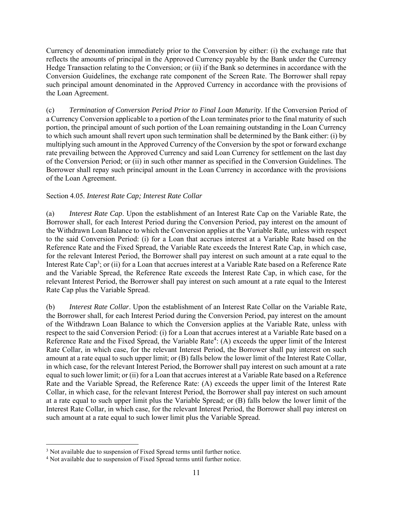Currency of denomination immediately prior to the Conversion by either: (i) the exchange rate that reflects the amounts of principal in the Approved Currency payable by the Bank under the Currency Hedge Transaction relating to the Conversion; or (ii) if the Bank so determines in accordance with the Conversion Guidelines, the exchange rate component of the Screen Rate. The Borrower shall repay such principal amount denominated in the Approved Currency in accordance with the provisions of the Loan Agreement.

(c) *Termination of Conversion Period Prior to Final Loan Maturity.* If the Conversion Period of a Currency Conversion applicable to a portion of the Loan terminates prior to the final maturity of such portion, the principal amount of such portion of the Loan remaining outstanding in the Loan Currency to which such amount shall revert upon such termination shall be determined by the Bank either: (i) by multiplying such amount in the Approved Currency of the Conversion by the spot or forward exchange rate prevailing between the Approved Currency and said Loan Currency for settlement on the last day of the Conversion Period; or (ii) in such other manner as specified in the Conversion Guidelines. The Borrower shall repay such principal amount in the Loan Currency in accordance with the provisions of the Loan Agreement.

#### <span id="page-15-0"></span>Section 4.05*. Interest Rate Cap; Interest Rate Collar*

(a) *Interest Rate Cap*. Upon the establishment of an Interest Rate Cap on the Variable Rate, the Borrower shall, for each Interest Period during the Conversion Period, pay interest on the amount of the Withdrawn Loan Balance to which the Conversion applies at the Variable Rate, unless with respect to the said Conversion Period: (i) for a Loan that accrues interest at a Variable Rate based on the Reference Rate and the Fixed Spread, the Variable Rate exceeds the Interest Rate Cap, in which case, for the relevant Interest Period, the Borrower shall pay interest on such amount at a rate equal to the Interest Rate Cap<sup>3</sup>; or (ii) for a Loan that accrues interest at a Variable Rate based on a Reference Rate and the Variable Spread, the Reference Rate exceeds the Interest Rate Cap, in which case, for the relevant Interest Period, the Borrower shall pay interest on such amount at a rate equal to the Interest Rate Cap plus the Variable Spread.

(b) *Interest Rate Collar*. Upon the establishment of an Interest Rate Collar on the Variable Rate, the Borrower shall, for each Interest Period during the Conversion Period, pay interest on the amount of the Withdrawn Loan Balance to which the Conversion applies at the Variable Rate, unless with respect to the said Conversion Period: (i) for a Loan that accrues interest at a Variable Rate based on a Reference Rate and the Fixed Spread, the Variable Rate<sup>4</sup>: (A) exceeds the upper limit of the Interest Rate Collar, in which case, for the relevant Interest Period, the Borrower shall pay interest on such amount at a rate equal to such upper limit; or (B) falls below the lower limit of the Interest Rate Collar, in which case, for the relevant Interest Period, the Borrower shall pay interest on such amount at a rate equal to such lower limit; or (ii) for a Loan that accrues interest at a Variable Rate based on a Reference Rate and the Variable Spread, the Reference Rate: (A) exceeds the upper limit of the Interest Rate Collar, in which case, for the relevant Interest Period, the Borrower shall pay interest on such amount at a rate equal to such upper limit plus the Variable Spread; or (B) falls below the lower limit of the Interest Rate Collar, in which case, for the relevant Interest Period, the Borrower shall pay interest on such amount at a rate equal to such lower limit plus the Variable Spread.

<sup>&</sup>lt;sup>3</sup> Not available due to suspension of Fixed Spread terms until further notice.

<sup>&</sup>lt;sup>4</sup> Not available due to suspension of Fixed Spread terms until further notice.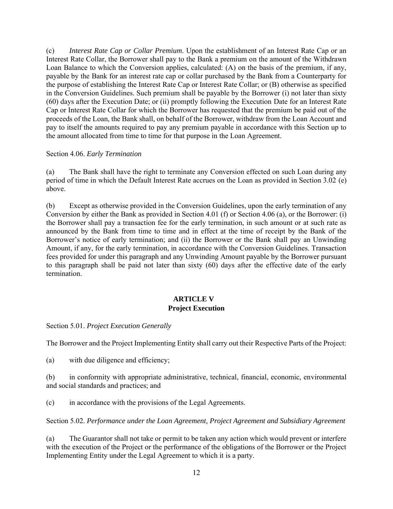(c) *Interest Rate Cap or Collar Premium*. Upon the establishment of an Interest Rate Cap or an Interest Rate Collar, the Borrower shall pay to the Bank a premium on the amount of the Withdrawn Loan Balance to which the Conversion applies, calculated: (A) on the basis of the premium, if any, payable by the Bank for an interest rate cap or collar purchased by the Bank from a Counterparty for the purpose of establishing the Interest Rate Cap or Interest Rate Collar; or (B) otherwise as specified in the Conversion Guidelines. Such premium shall be payable by the Borrower (i) not later than sixty (60) days after the Execution Date; or (ii) promptly following the Execution Date for an Interest Rate Cap or Interest Rate Collar for which the Borrower has requested that the premium be paid out of the proceeds of the Loan, the Bank shall, on behalf of the Borrower, withdraw from the Loan Account and pay to itself the amounts required to pay any premium payable in accordance with this Section up to the amount allocated from time to time for that purpose in the Loan Agreement.

#### <span id="page-16-0"></span>Section 4.06. *Early Termination*

(a) The Bank shall have the right to terminate any Conversion effected on such Loan during any period of time in which the Default Interest Rate accrues on the Loan as provided in Section 3.02 (e) above.

(b) Except as otherwise provided in the Conversion Guidelines, upon the early termination of any Conversion by either the Bank as provided in Section 4.01 (f) or Section 4.06 (a), or the Borrower: (i) the Borrower shall pay a transaction fee for the early termination, in such amount or at such rate as announced by the Bank from time to time and in effect at the time of receipt by the Bank of the Borrower's notice of early termination; and (ii) the Borrower or the Bank shall pay an Unwinding Amount, if any, for the early termination, in accordance with the Conversion Guidelines. Transaction fees provided for under this paragraph and any Unwinding Amount payable by the Borrower pursuant to this paragraph shall be paid not later than sixty (60) days after the effective date of the early termination.

#### **ARTICLE V Project Execution**

<span id="page-16-2"></span><span id="page-16-1"></span>Section 5.01. *Project Execution Generally*

The Borrower and the Project Implementing Entity shall carry out their Respective Parts of the Project:

(a) with due diligence and efficiency;

(b) in conformity with appropriate administrative, technical, financial, economic, environmental and social standards and practices; and

(c) in accordance with the provisions of the Legal Agreements.

<span id="page-16-3"></span>Section 5.02. *Performance under the Loan Agreement, Project Agreement and Subsidiary Agreement*

(a) The Guarantor shall not take or permit to be taken any action which would prevent or interfere with the execution of the Project or the performance of the obligations of the Borrower or the Project Implementing Entity under the Legal Agreement to which it is a party.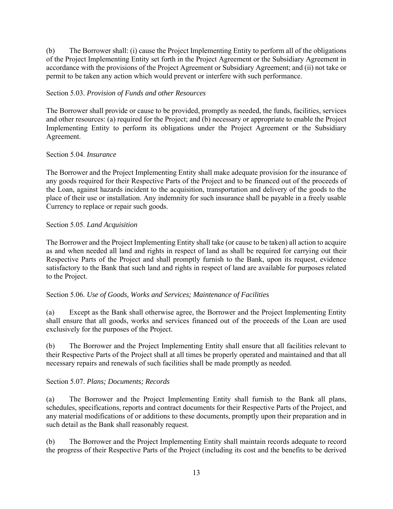(b) The Borrower shall: (i) cause the Project Implementing Entity to perform all of the obligations of the Project Implementing Entity set forth in the Project Agreement or the Subsidiary Agreement in accordance with the provisions of the Project Agreement or Subsidiary Agreement; and (ii) not take or permit to be taken any action which would prevent or interfere with such performance.

#### <span id="page-17-0"></span>Section 5.03. *Provision of Funds and other Resources*

The Borrower shall provide or cause to be provided, promptly as needed, the funds, facilities, services and other resources: (a) required for the Project; and (b) necessary or appropriate to enable the Project Implementing Entity to perform its obligations under the Project Agreement or the Subsidiary Agreement.

#### <span id="page-17-1"></span>Section 5.04. *Insurance*

The Borrower and the Project Implementing Entity shall make adequate provision for the insurance of any goods required for their Respective Parts of the Project and to be financed out of the proceeds of the Loan, against hazards incident to the acquisition, transportation and delivery of the goods to the place of their use or installation. Any indemnity for such insurance shall be payable in a freely usable Currency to replace or repair such goods.

#### <span id="page-17-2"></span>Section 5.05. *Land Acquisition*

The Borrower and the Project Implementing Entity shall take (or cause to be taken) all action to acquire as and when needed all land and rights in respect of land as shall be required for carrying out their Respective Parts of the Project and shall promptly furnish to the Bank, upon its request, evidence satisfactory to the Bank that such land and rights in respect of land are available for purposes related to the Project.

#### <span id="page-17-3"></span>Section 5.06. *Use of Goods, Works and Services; Maintenance of Facilities*

(a) Except as the Bank shall otherwise agree, the Borrower and the Project Implementing Entity shall ensure that all goods, works and services financed out of the proceeds of the Loan are used exclusively for the purposes of the Project.

(b) The Borrower and the Project Implementing Entity shall ensure that all facilities relevant to their Respective Parts of the Project shall at all times be properly operated and maintained and that all necessary repairs and renewals of such facilities shall be made promptly as needed.

#### <span id="page-17-4"></span>Section 5.07. *Plans; Documents; Records*

(a) The Borrower and the Project Implementing Entity shall furnish to the Bank all plans, schedules, specifications, reports and contract documents for their Respective Parts of the Project, and any material modifications of or additions to these documents, promptly upon their preparation and in such detail as the Bank shall reasonably request.

(b) The Borrower and the Project Implementing Entity shall maintain records adequate to record the progress of their Respective Parts of the Project (including its cost and the benefits to be derived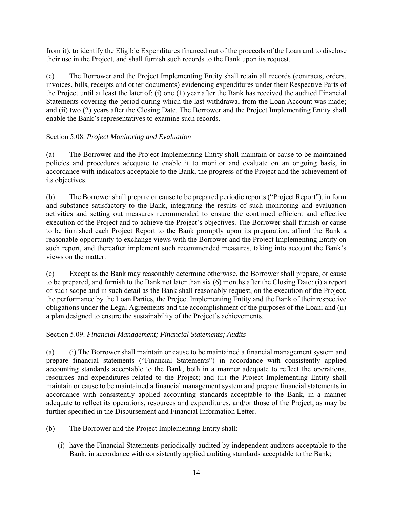from it), to identify the Eligible Expenditures financed out of the proceeds of the Loan and to disclose their use in the Project, and shall furnish such records to the Bank upon its request.

(c) The Borrower and the Project Implementing Entity shall retain all records (contracts, orders, invoices, bills, receipts and other documents) evidencing expenditures under their Respective Parts of the Project until at least the later of: (i) one (1) year after the Bank has received the audited Financial Statements covering the period during which the last withdrawal from the Loan Account was made; and (ii) two (2) years after the Closing Date. The Borrower and the Project Implementing Entity shall enable the Bank's representatives to examine such records.

#### <span id="page-18-0"></span>Section 5.08. *Project Monitoring and Evaluation*

(a) The Borrower and the Project Implementing Entity shall maintain or cause to be maintained policies and procedures adequate to enable it to monitor and evaluate on an ongoing basis, in accordance with indicators acceptable to the Bank, the progress of the Project and the achievement of its objectives.

(b) The Borrower shall prepare or cause to be prepared periodic reports ("Project Report"), in form and substance satisfactory to the Bank, integrating the results of such monitoring and evaluation activities and setting out measures recommended to ensure the continued efficient and effective execution of the Project and to achieve the Project's objectives. The Borrower shall furnish or cause to be furnished each Project Report to the Bank promptly upon its preparation, afford the Bank a reasonable opportunity to exchange views with the Borrower and the Project Implementing Entity on such report, and thereafter implement such recommended measures, taking into account the Bank's views on the matter.

(c) Except as the Bank may reasonably determine otherwise, the Borrower shall prepare, or cause to be prepared, and furnish to the Bank not later than six (6) months after the Closing Date: (i) a report of such scope and in such detail as the Bank shall reasonably request, on the execution of the Project, the performance by the Loan Parties, the Project Implementing Entity and the Bank of their respective obligations under the Legal Agreements and the accomplishment of the purposes of the Loan; and (ii) a plan designed to ensure the sustainability of the Project's achievements.

#### <span id="page-18-1"></span>Section 5.09. *Financial Management; Financial Statements; Audits*

(a) (i) The Borrower shall maintain or cause to be maintained a financial management system and prepare financial statements ("Financial Statements") in accordance with consistently applied accounting standards acceptable to the Bank, both in a manner adequate to reflect the operations, resources and expenditures related to the Project; and (ii) the Project Implementing Entity shall maintain or cause to be maintained a financial management system and prepare financial statements in accordance with consistently applied accounting standards acceptable to the Bank, in a manner adequate to reflect its operations, resources and expenditures, and/or those of the Project, as may be further specified in the Disbursement and Financial Information Letter.

- (b) The Borrower and the Project Implementing Entity shall:
	- (i) have the Financial Statements periodically audited by independent auditors acceptable to the Bank, in accordance with consistently applied auditing standards acceptable to the Bank;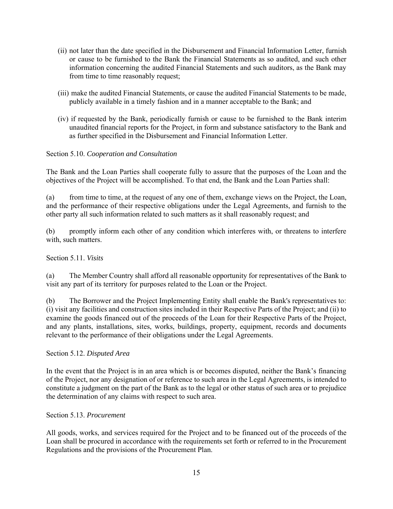- (ii) not later than the date specified in the Disbursement and Financial Information Letter, furnish or cause to be furnished to the Bank the Financial Statements as so audited, and such other information concerning the audited Financial Statements and such auditors, as the Bank may from time to time reasonably request;
- (iii) make the audited Financial Statements, or cause the audited Financial Statements to be made, publicly available in a timely fashion and in a manner acceptable to the Bank; and
- (iv) if requested by the Bank, periodically furnish or cause to be furnished to the Bank interim unaudited financial reports for the Project, in form and substance satisfactory to the Bank and as further specified in the Disbursement and Financial Information Letter.

#### <span id="page-19-0"></span>Section 5.10. *Cooperation and Consultation*

The Bank and the Loan Parties shall cooperate fully to assure that the purposes of the Loan and the objectives of the Project will be accomplished. To that end, the Bank and the Loan Parties shall:

(a) from time to time, at the request of any one of them, exchange views on the Project, the Loan, and the performance of their respective obligations under the Legal Agreements, and furnish to the other party all such information related to such matters as it shall reasonably request; and

(b) promptly inform each other of any condition which interferes with, or threatens to interfere with, such matters.

<span id="page-19-1"></span>Section 5.11. *Visits*

(a) The Member Country shall afford all reasonable opportunity for representatives of the Bank to visit any part of its territory for purposes related to the Loan or the Project.

(b) The Borrower and the Project Implementing Entity shall enable the Bank's representatives to: (i) visit any facilities and construction sites included in their Respective Parts of the Project; and (ii) to examine the goods financed out of the proceeds of the Loan for their Respective Parts of the Project, and any plants, installations, sites, works, buildings, property, equipment, records and documents relevant to the performance of their obligations under the Legal Agreements.

<span id="page-19-2"></span>Section 5.12. *Disputed Area*

In the event that the Project is in an area which is or becomes disputed, neither the Bank's financing of the Project, nor any designation of or reference to such area in the Legal Agreements, is intended to constitute a judgment on the part of the Bank as to the legal or other status of such area or to prejudice the determination of any claims with respect to such area.

#### <span id="page-19-3"></span>Section 5.13. *Procurement*

All goods, works, and services required for the Project and to be financed out of the proceeds of the Loan shall be procured in accordance with the requirements set forth or referred to in the Procurement Regulations and the provisions of the Procurement Plan.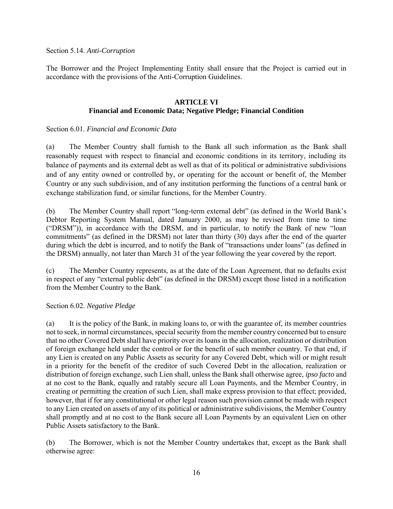<span id="page-20-0"></span>Section 5.14. *Anti-Corruption*

The Borrower and the Project Implementing Entity shall ensure that the Project is carried out in accordance with the provisions of the Anti-Corruption Guidelines.

#### **ARTICLE VI Financial and Economic Data; Negative Pledge; Financial Condition**

<span id="page-20-2"></span><span id="page-20-1"></span>Section 6.01. *Financial and Economic Data* 

(a) The Member Country shall furnish to the Bank all such information as the Bank shall reasonably request with respect to financial and economic conditions in its territory, including its balance of payments and its external debt as well as that of its political or administrative subdivisions and of any entity owned or controlled by, or operating for the account or benefit of, the Member Country or any such subdivision, and of any institution performing the functions of a central bank or exchange stabilization fund, or similar functions, for the Member Country.

(b) The Member Country shall report "long-term external debt" (as defined in the World Bank's Debtor Reporting System Manual, dated January 2000, as may be revised from time to time ("DRSM")), in accordance with the DRSM, and in particular, to notify the Bank of new "loan commitments" (as defined in the DRSM) not later than thirty (30) days after the end of the quarter during which the debt is incurred, and to notify the Bank of "transactions under loans" (as defined in the DRSM) annually, not later than March 31 of the year following the year covered by the report.

(c) The Member Country represents, as at the date of the Loan Agreement, that no defaults exist in respect of any "external public debt" (as defined in the DRSM) except those listed in a notification from the Member Country to the Bank.

#### <span id="page-20-3"></span>Section 6.02. *Negative Pledge*

(a) It is the policy of the Bank, in making loans to, or with the guarantee of, its member countries not to seek, in normal circumstances, special security from the member country concerned but to ensure that no other Covered Debt shall have priority over its loans in the allocation, realization or distribution of foreign exchange held under the control or for the benefit of such member country. To that end, if any Lien is created on any Public Assets as security for any Covered Debt, which will or might result in a priority for the benefit of the creditor of such Covered Debt in the allocation, realization or distribution of foreign exchange, such Lien shall, unless the Bank shall otherwise agree, *ipso facto* and at no cost to the Bank, equally and ratably secure all Loan Payments, and the Member Country, in creating or permitting the creation of such Lien, shall make express provision to that effect; provided, however, that if for any constitutional or other legal reason such provision cannot be made with respect to any Lien created on assets of any of its political or administrative subdivisions, the Member Country shall promptly and at no cost to the Bank secure all Loan Payments by an equivalent Lien on other Public Assets satisfactory to the Bank.

(b) The Borrower, which is not the Member Country undertakes that, except as the Bank shall otherwise agree: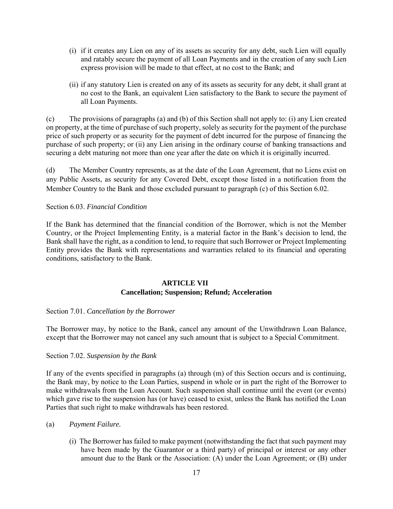- (i) if it creates any Lien on any of its assets as security for any debt, such Lien will equally and ratably secure the payment of all Loan Payments and in the creation of any such Lien express provision will be made to that effect, at no cost to the Bank; and
- (ii) if any statutory Lien is created on any of its assets as security for any debt, it shall grant at no cost to the Bank, an equivalent Lien satisfactory to the Bank to secure the payment of all Loan Payments.

(c) The provisions of paragraphs (a) and (b) of this Section shall not apply to: (i) any Lien created on property, at the time of purchase of such property, solely as security for the payment of the purchase price of such property or as security for the payment of debt incurred for the purpose of financing the purchase of such property; or (ii) any Lien arising in the ordinary course of banking transactions and securing a debt maturing not more than one year after the date on which it is originally incurred.

(d) The Member Country represents, as at the date of the Loan Agreement, that no Liens exist on any Public Assets, as security for any Covered Debt, except those listed in a notification from the Member Country to the Bank and those excluded pursuant to paragraph (c) of this Section 6.02.

#### <span id="page-21-0"></span>Section 6.03. *Financial Condition*

If the Bank has determined that the financial condition of the Borrower, which is not the Member Country, or the Project Implementing Entity, is a material factor in the Bank's decision to lend, the Bank shall have the right, as a condition to lend, to require that such Borrower or Project Implementing Entity provides the Bank with representations and warranties related to its financial and operating conditions, satisfactory to the Bank.

#### **ARTICLE VII Cancellation; Suspension; Refund; Acceleration**

#### <span id="page-21-2"></span><span id="page-21-1"></span>Section 7.01. *Cancellation by the Borrower*

The Borrower may, by notice to the Bank, cancel any amount of the Unwithdrawn Loan Balance, except that the Borrower may not cancel any such amount that is subject to a Special Commitment.

#### <span id="page-21-3"></span>Section 7.02. *Suspension by the Bank*

If any of the events specified in paragraphs (a) through (m) of this Section occurs and is continuing, the Bank may, by notice to the Loan Parties, suspend in whole or in part the right of the Borrower to make withdrawals from the Loan Account. Such suspension shall continue until the event (or events) which gave rise to the suspension has (or have) ceased to exist, unless the Bank has notified the Loan Parties that such right to make withdrawals has been restored.

- (a) *Payment Failure.* 
	- (i) The Borrower has failed to make payment (notwithstanding the fact that such payment may have been made by the Guarantor or a third party) of principal or interest or any other amount due to the Bank or the Association: (A) under the Loan Agreement; or (B) under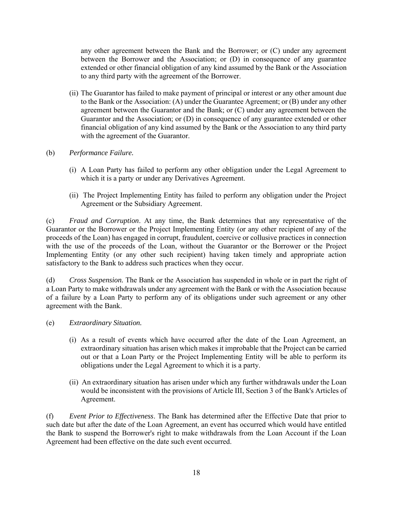any other agreement between the Bank and the Borrower; or (C) under any agreement between the Borrower and the Association; or (D) in consequence of any guarantee extended or other financial obligation of any kind assumed by the Bank or the Association to any third party with the agreement of the Borrower.

- (ii) The Guarantor has failed to make payment of principal or interest or any other amount due to the Bank or the Association: (A) under the Guarantee Agreement; or (B) under any other agreement between the Guarantor and the Bank; or (C) under any agreement between the Guarantor and the Association; or (D) in consequence of any guarantee extended or other financial obligation of any kind assumed by the Bank or the Association to any third party with the agreement of the Guarantor.
- (b) *Performance Failure.* 
	- (i) A Loan Party has failed to perform any other obligation under the Legal Agreement to which it is a party or under any Derivatives Agreement.
	- (ii) The Project Implementing Entity has failed to perform any obligation under the Project Agreement or the Subsidiary Agreement.

(c) *Fraud and Corruption*. At any time, the Bank determines that any representative of the Guarantor or the Borrower or the Project Implementing Entity (or any other recipient of any of the proceeds of the Loan) has engaged in corrupt, fraudulent, coercive or collusive practices in connection with the use of the proceeds of the Loan, without the Guarantor or the Borrower or the Project Implementing Entity (or any other such recipient) having taken timely and appropriate action satisfactory to the Bank to address such practices when they occur.

(d) *Cross Suspension.* The Bank or the Association has suspended in whole or in part the right of a Loan Party to make withdrawals under any agreement with the Bank or with the Association because of a failure by a Loan Party to perform any of its obligations under such agreement or any other agreement with the Bank.

- (e) *Extraordinary Situation.*
	- (i) As a result of events which have occurred after the date of the Loan Agreement, an extraordinary situation has arisen which makes it improbable that the Project can be carried out or that a Loan Party or the Project Implementing Entity will be able to perform its obligations under the Legal Agreement to which it is a party.
	- (ii) An extraordinary situation has arisen under which any further withdrawals under the Loan would be inconsistent with the provisions of Article III, Section 3 of the Bank's Articles of Agreement.

(f) *Event Prior to Effectiveness*. The Bank has determined after the Effective Date that prior to such date but after the date of the Loan Agreement, an event has occurred which would have entitled the Bank to suspend the Borrower's right to make withdrawals from the Loan Account if the Loan Agreement had been effective on the date such event occurred.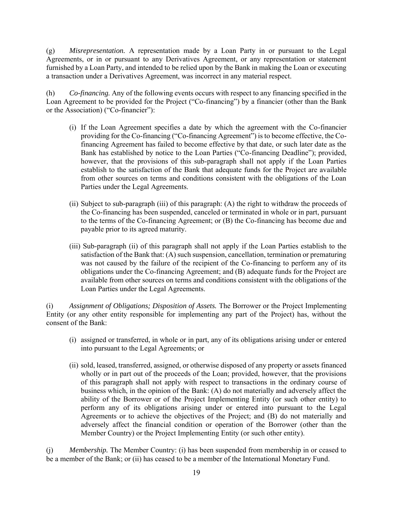(g) *Misrepresentation.* A representation made by a Loan Party in or pursuant to the Legal Agreements, or in or pursuant to any Derivatives Agreement, or any representation or statement furnished by a Loan Party, and intended to be relied upon by the Bank in making the Loan or executing a transaction under a Derivatives Agreement, was incorrect in any material respect.

(h) *Co-financing.* Any of the following events occurs with respect to any financing specified in the Loan Agreement to be provided for the Project ("Co-financing") by a financier (other than the Bank or the Association) ("Co-financier"):

- (i) If the Loan Agreement specifies a date by which the agreement with the Co-financier providing for the Co-financing ("Co-financing Agreement") is to become effective, the Cofinancing Agreement has failed to become effective by that date, or such later date as the Bank has established by notice to the Loan Parties ("Co-financing Deadline"); provided, however, that the provisions of this sub-paragraph shall not apply if the Loan Parties establish to the satisfaction of the Bank that adequate funds for the Project are available from other sources on terms and conditions consistent with the obligations of the Loan Parties under the Legal Agreements.
- (ii) Subject to sub-paragraph (iii) of this paragraph: (A) the right to withdraw the proceeds of the Co-financing has been suspended, canceled or terminated in whole or in part, pursuant to the terms of the Co-financing Agreement; or (B) the Co-financing has become due and payable prior to its agreed maturity.
- (iii) Sub-paragraph (ii) of this paragraph shall not apply if the Loan Parties establish to the satisfaction of the Bank that: (A) such suspension, cancellation, termination or prematuring was not caused by the failure of the recipient of the Co-financing to perform any of its obligations under the Co-financing Agreement; and (B) adequate funds for the Project are available from other sources on terms and conditions consistent with the obligations of the Loan Parties under the Legal Agreements.

(i) *Assignment of Obligations; Disposition of Assets.* The Borrower or the Project Implementing Entity (or any other entity responsible for implementing any part of the Project) has, without the consent of the Bank:

- (i) assigned or transferred, in whole or in part, any of its obligations arising under or entered into pursuant to the Legal Agreements; or
- (ii) sold, leased, transferred, assigned, or otherwise disposed of any property or assets financed wholly or in part out of the proceeds of the Loan; provided, however, that the provisions of this paragraph shall not apply with respect to transactions in the ordinary course of business which, in the opinion of the Bank: (A) do not materially and adversely affect the ability of the Borrower or of the Project Implementing Entity (or such other entity) to perform any of its obligations arising under or entered into pursuant to the Legal Agreements or to achieve the objectives of the Project; and (B) do not materially and adversely affect the financial condition or operation of the Borrower (other than the Member Country) or the Project Implementing Entity (or such other entity).

(j) *Membership.* The Member Country: (i) has been suspended from membership in or ceased to be a member of the Bank; or (ii) has ceased to be a member of the International Monetary Fund.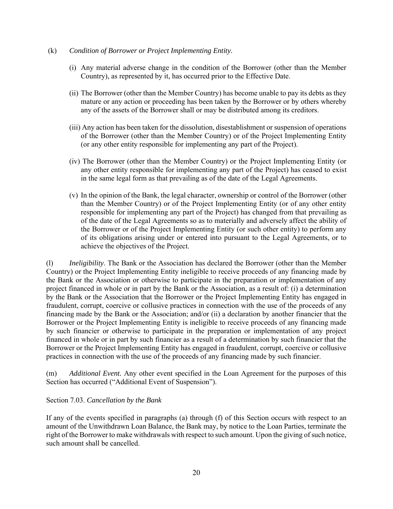- (k) *Condition of Borrower or Project Implementing Entity.*
	- (i) Any material adverse change in the condition of the Borrower (other than the Member Country), as represented by it, has occurred prior to the Effective Date.
	- (ii) The Borrower (other than the Member Country) has become unable to pay its debts as they mature or any action or proceeding has been taken by the Borrower or by others whereby any of the assets of the Borrower shall or may be distributed among its creditors.
	- (iii) Any action has been taken for the dissolution, disestablishment or suspension of operations of the Borrower (other than the Member Country) or of the Project Implementing Entity (or any other entity responsible for implementing any part of the Project).
	- (iv) The Borrower (other than the Member Country) or the Project Implementing Entity (or any other entity responsible for implementing any part of the Project) has ceased to exist in the same legal form as that prevailing as of the date of the Legal Agreements.
	- (v) In the opinion of the Bank, the legal character, ownership or control of the Borrower (other than the Member Country) or of the Project Implementing Entity (or of any other entity responsible for implementing any part of the Project) has changed from that prevailing as of the date of the Legal Agreements so as to materially and adversely affect the ability of the Borrower or of the Project Implementing Entity (or such other entity) to perform any of its obligations arising under or entered into pursuant to the Legal Agreements, or to achieve the objectives of the Project.

(l) *Ineligibility*. The Bank or the Association has declared the Borrower (other than the Member Country) or the Project Implementing Entity ineligible to receive proceeds of any financing made by the Bank or the Association or otherwise to participate in the preparation or implementation of any project financed in whole or in part by the Bank or the Association, as a result of: (i) a determination by the Bank or the Association that the Borrower or the Project Implementing Entity has engaged in fraudulent, corrupt, coercive or collusive practices in connection with the use of the proceeds of any financing made by the Bank or the Association; and/or (ii) a declaration by another financier that the Borrower or the Project Implementing Entity is ineligible to receive proceeds of any financing made by such financier or otherwise to participate in the preparation or implementation of any project financed in whole or in part by such financier as a result of a determination by such financier that the Borrower or the Project Implementing Entity has engaged in fraudulent, corrupt, coercive or collusive practices in connection with the use of the proceeds of any financing made by such financier.

(m) *Additional Event.* Any other event specified in the Loan Agreement for the purposes of this Section has occurred ("Additional Event of Suspension").

#### <span id="page-24-0"></span>Section 7.03. *Cancellation by the Bank*

If any of the events specified in paragraphs (a) through (f) of this Section occurs with respect to an amount of the Unwithdrawn Loan Balance, the Bank may, by notice to the Loan Parties, terminate the right of the Borrower to make withdrawals with respect to such amount. Upon the giving of such notice, such amount shall be cancelled.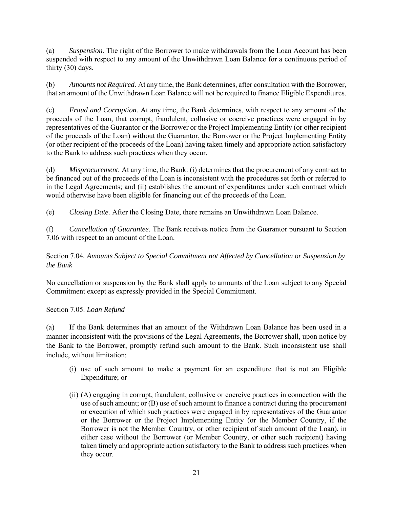(a) *Suspension.* The right of the Borrower to make withdrawals from the Loan Account has been suspended with respect to any amount of the Unwithdrawn Loan Balance for a continuous period of thirty (30) days.

(b) *Amounts not Required.* At any time, the Bank determines, after consultation with the Borrower, that an amount of the Unwithdrawn Loan Balance will not be required to finance Eligible Expenditures.

(c) *Fraud and Corruption.* At any time, the Bank determines, with respect to any amount of the proceeds of the Loan, that corrupt, fraudulent, collusive or coercive practices were engaged in by representatives of the Guarantor or the Borrower or the Project Implementing Entity (or other recipient of the proceeds of the Loan) without the Guarantor, the Borrower or the Project Implementing Entity (or other recipient of the proceeds of the Loan) having taken timely and appropriate action satisfactory to the Bank to address such practices when they occur.

(d) *Misprocurement.* At any time, the Bank: (i) determines that the procurement of any contract to be financed out of the proceeds of the Loan is inconsistent with the procedures set forth or referred to in the Legal Agreements; and (ii) establishes the amount of expenditures under such contract which would otherwise have been eligible for financing out of the proceeds of the Loan.

(e) *Closing Date.* After the Closing Date, there remains an Unwithdrawn Loan Balance.

(f) *Cancellation of Guarantee.* The Bank receives notice from the Guarantor pursuant to Section 7.06 with respect to an amount of the Loan.

<span id="page-25-0"></span>Section 7.04*. Amounts Subject to Special Commitment not Affected by Cancellation or Suspension by the Bank* 

No cancellation or suspension by the Bank shall apply to amounts of the Loan subject to any Special Commitment except as expressly provided in the Special Commitment.

#### <span id="page-25-1"></span>Section 7.05. *Loan Refund*

(a) If the Bank determines that an amount of the Withdrawn Loan Balance has been used in a manner inconsistent with the provisions of the Legal Agreements, the Borrower shall, upon notice by the Bank to the Borrower, promptly refund such amount to the Bank. Such inconsistent use shall include, without limitation:

- (i) use of such amount to make a payment for an expenditure that is not an Eligible Expenditure; or
- (ii) (A) engaging in corrupt, fraudulent, collusive or coercive practices in connection with the use of such amount; or (B) use of such amount to finance a contract during the procurement or execution of which such practices were engaged in by representatives of the Guarantor or the Borrower or the Project Implementing Entity (or the Member Country, if the Borrower is not the Member Country, or other recipient of such amount of the Loan), in either case without the Borrower (or Member Country, or other such recipient) having taken timely and appropriate action satisfactory to the Bank to address such practices when they occur.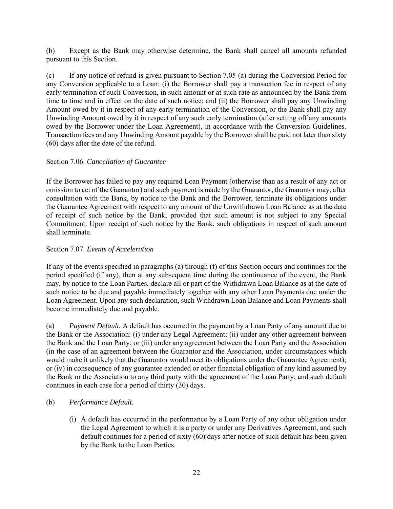(b) Except as the Bank may otherwise determine, the Bank shall cancel all amounts refunded pursuant to this Section.

(c) If any notice of refund is given pursuant to Section 7.05 (a) during the Conversion Period for any Conversion applicable to a Loan: (i) the Borrower shall pay a transaction fee in respect of any early termination of such Conversion, in such amount or at such rate as announced by the Bank from time to time and in effect on the date of such notice; and (ii) the Borrower shall pay any Unwinding Amount owed by it in respect of any early termination of the Conversion, or the Bank shall pay any Unwinding Amount owed by it in respect of any such early termination (after setting off any amounts owed by the Borrower under the Loan Agreement), in accordance with the Conversion Guidelines. Transaction fees and any Unwinding Amount payable by the Borrower shall be paid not later than sixty (60) days after the date of the refund.

#### <span id="page-26-0"></span>Section 7.06. *Cancellation of Guarantee*

If the Borrower has failed to pay any required Loan Payment (otherwise than as a result of any act or omission to act of the Guarantor) and such payment is made by the Guarantor, the Guarantor may, after consultation with the Bank, by notice to the Bank and the Borrower, terminate its obligations under the Guarantee Agreement with respect to any amount of the Unwithdrawn Loan Balance as at the date of receipt of such notice by the Bank; provided that such amount is not subject to any Special Commitment. Upon receipt of such notice by the Bank, such obligations in respect of such amount shall terminate.

#### <span id="page-26-1"></span>Section 7.07. *Events of Acceleration*

If any of the events specified in paragraphs (a) through (f) of this Section occurs and continues for the period specified (if any), then at any subsequent time during the continuance of the event, the Bank may, by notice to the Loan Parties, declare all or part of the Withdrawn Loan Balance as at the date of such notice to be due and payable immediately together with any other Loan Payments due under the Loan Agreement. Upon any such declaration, such Withdrawn Loan Balance and Loan Payments shall become immediately due and payable.

(a) *Payment Default.* A default has occurred in the payment by a Loan Party of any amount due to the Bank or the Association: (i) under any Legal Agreement; (ii) under any other agreement between the Bank and the Loan Party; or (iii) under any agreement between the Loan Party and the Association (in the case of an agreement between the Guarantor and the Association, under circumstances which would make it unlikely that the Guarantor would meet its obligations under the Guarantee Agreement); or (iv) in consequence of any guarantee extended or other financial obligation of any kind assumed by the Bank or the Association to any third party with the agreement of the Loan Party; and such default continues in each case for a period of thirty (30) days.

#### (b) *Performance Default.*

(i) A default has occurred in the performance by a Loan Party of any other obligation under the Legal Agreement to which it is a party or under any Derivatives Agreement, and such default continues for a period of sixty (60) days after notice of such default has been given by the Bank to the Loan Parties.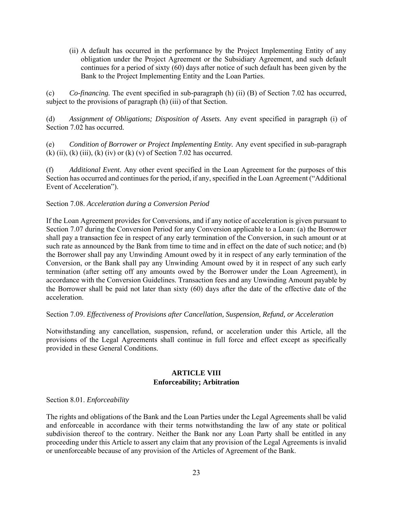(ii) A default has occurred in the performance by the Project Implementing Entity of any obligation under the Project Agreement or the Subsidiary Agreement, and such default continues for a period of sixty (60) days after notice of such default has been given by the Bank to the Project Implementing Entity and the Loan Parties.

(c) *Co-financing.* The event specified in sub-paragraph (h) (ii) (B) of Section 7.02 has occurred, subject to the provisions of paragraph (h) (iii) of that Section.

(d) *Assignment of Obligations; Disposition of Assets.* Any event specified in paragraph (i) of Section 7.02 has occurred.

(e) *Condition of Borrower or Project Implementing Entity.* Any event specified in sub-paragraph (k) (ii), (k) (iii), (k) (iv) or (k) (v) of Section 7.02 has occurred.

(f) *Additional Event.* Any other event specified in the Loan Agreement for the purposes of this Section has occurred and continues for the period, if any, specified in the Loan Agreement ("Additional Event of Acceleration").

<span id="page-27-0"></span>Section 7.08. *Acceleration during a Conversion Period* 

If the Loan Agreement provides for Conversions, and if any notice of acceleration is given pursuant to Section 7.07 during the Conversion Period for any Conversion applicable to a Loan: (a) the Borrower shall pay a transaction fee in respect of any early termination of the Conversion, in such amount or at such rate as announced by the Bank from time to time and in effect on the date of such notice; and (b) the Borrower shall pay any Unwinding Amount owed by it in respect of any early termination of the Conversion, or the Bank shall pay any Unwinding Amount owed by it in respect of any such early termination (after setting off any amounts owed by the Borrower under the Loan Agreement), in accordance with the Conversion Guidelines. Transaction fees and any Unwinding Amount payable by the Borrower shall be paid not later than sixty (60) days after the date of the effective date of the acceleration.

#### <span id="page-27-1"></span>Section 7.09. *Effectiveness of Provisions after Cancellation, Suspension, Refund, or Acceleration*

<span id="page-27-2"></span>Notwithstanding any cancellation, suspension, refund, or acceleration under this Article, all the provisions of the Legal Agreements shall continue in full force and effect except as specifically provided in these General Conditions.

#### **ARTICLE VIII Enforceability; Arbitration**

<span id="page-27-3"></span>Section 8.01. *Enforceability* 

The rights and obligations of the Bank and the Loan Parties under the Legal Agreements shall be valid and enforceable in accordance with their terms notwithstanding the law of any state or political subdivision thereof to the contrary. Neither the Bank nor any Loan Party shall be entitled in any proceeding under this Article to assert any claim that any provision of the Legal Agreements is invalid or unenforceable because of any provision of the Articles of Agreement of the Bank.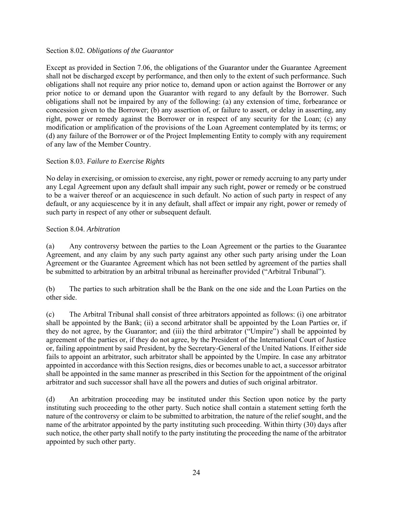#### <span id="page-28-0"></span>Section 8.02. *Obligations of the Guarantor*

Except as provided in Section 7.06, the obligations of the Guarantor under the Guarantee Agreement shall not be discharged except by performance, and then only to the extent of such performance. Such obligations shall not require any prior notice to, demand upon or action against the Borrower or any prior notice to or demand upon the Guarantor with regard to any default by the Borrower. Such obligations shall not be impaired by any of the following: (a) any extension of time, forbearance or concession given to the Borrower; (b) any assertion of, or failure to assert, or delay in asserting, any right, power or remedy against the Borrower or in respect of any security for the Loan; (c) any modification or amplification of the provisions of the Loan Agreement contemplated by its terms; or (d) any failure of the Borrower or of the Project Implementing Entity to comply with any requirement of any law of the Member Country.

#### <span id="page-28-1"></span>Section 8.03. *Failure to Exercise Rights*

No delay in exercising, or omission to exercise, any right, power or remedy accruing to any party under any Legal Agreement upon any default shall impair any such right, power or remedy or be construed to be a waiver thereof or an acquiescence in such default. No action of such party in respect of any default, or any acquiescence by it in any default, shall affect or impair any right, power or remedy of such party in respect of any other or subsequent default.

#### <span id="page-28-2"></span>Section 8.04. *Arbitration*

(a) Any controversy between the parties to the Loan Agreement or the parties to the Guarantee Agreement, and any claim by any such party against any other such party arising under the Loan Agreement or the Guarantee Agreement which has not been settled by agreement of the parties shall be submitted to arbitration by an arbitral tribunal as hereinafter provided ("Arbitral Tribunal").

(b) The parties to such arbitration shall be the Bank on the one side and the Loan Parties on the other side.

(c) The Arbitral Tribunal shall consist of three arbitrators appointed as follows: (i) one arbitrator shall be appointed by the Bank; (ii) a second arbitrator shall be appointed by the Loan Parties or, if they do not agree, by the Guarantor; and (iii) the third arbitrator ("Umpire") shall be appointed by agreement of the parties or, if they do not agree, by the President of the International Court of Justice or, failing appointment by said President, by the Secretary-General of the United Nations. If either side fails to appoint an arbitrator, such arbitrator shall be appointed by the Umpire. In case any arbitrator appointed in accordance with this Section resigns, dies or becomes unable to act, a successor arbitrator shall be appointed in the same manner as prescribed in this Section for the appointment of the original arbitrator and such successor shall have all the powers and duties of such original arbitrator.

(d) An arbitration proceeding may be instituted under this Section upon notice by the party instituting such proceeding to the other party. Such notice shall contain a statement setting forth the nature of the controversy or claim to be submitted to arbitration, the nature of the relief sought, and the name of the arbitrator appointed by the party instituting such proceeding. Within thirty (30) days after such notice, the other party shall notify to the party instituting the proceeding the name of the arbitrator appointed by such other party.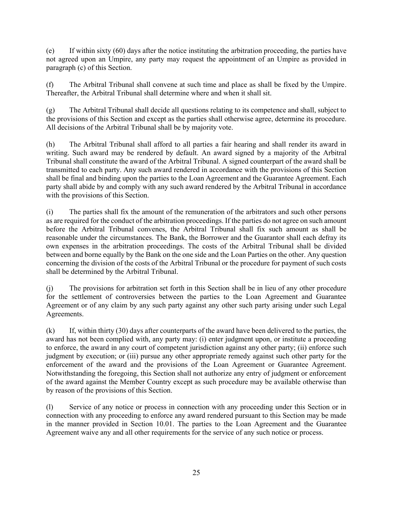(e) If within sixty (60) days after the notice instituting the arbitration proceeding, the parties have not agreed upon an Umpire, any party may request the appointment of an Umpire as provided in paragraph (c) of this Section.

(f) The Arbitral Tribunal shall convene at such time and place as shall be fixed by the Umpire. Thereafter, the Arbitral Tribunal shall determine where and when it shall sit.

(g) The Arbitral Tribunal shall decide all questions relating to its competence and shall, subject to the provisions of this Section and except as the parties shall otherwise agree, determine its procedure. All decisions of the Arbitral Tribunal shall be by majority vote.

(h) The Arbitral Tribunal shall afford to all parties a fair hearing and shall render its award in writing. Such award may be rendered by default. An award signed by a majority of the Arbitral Tribunal shall constitute the award of the Arbitral Tribunal. A signed counterpart of the award shall be transmitted to each party. Any such award rendered in accordance with the provisions of this Section shall be final and binding upon the parties to the Loan Agreement and the Guarantee Agreement. Each party shall abide by and comply with any such award rendered by the Arbitral Tribunal in accordance with the provisions of this Section.

(i) The parties shall fix the amount of the remuneration of the arbitrators and such other persons as are required for the conduct of the arbitration proceedings. If the parties do not agree on such amount before the Arbitral Tribunal convenes, the Arbitral Tribunal shall fix such amount as shall be reasonable under the circumstances. The Bank, the Borrower and the Guarantor shall each defray its own expenses in the arbitration proceedings. The costs of the Arbitral Tribunal shall be divided between and borne equally by the Bank on the one side and the Loan Parties on the other. Any question concerning the division of the costs of the Arbitral Tribunal or the procedure for payment of such costs shall be determined by the Arbitral Tribunal.

(j) The provisions for arbitration set forth in this Section shall be in lieu of any other procedure for the settlement of controversies between the parties to the Loan Agreement and Guarantee Agreement or of any claim by any such party against any other such party arising under such Legal Agreements.

(k) If, within thirty (30) days after counterparts of the award have been delivered to the parties, the award has not been complied with, any party may: (i) enter judgment upon, or institute a proceeding to enforce, the award in any court of competent jurisdiction against any other party; (ii) enforce such judgment by execution; or (iii) pursue any other appropriate remedy against such other party for the enforcement of the award and the provisions of the Loan Agreement or Guarantee Agreement. Notwithstanding the foregoing, this Section shall not authorize any entry of judgment or enforcement of the award against the Member Country except as such procedure may be available otherwise than by reason of the provisions of this Section.

(l) Service of any notice or process in connection with any proceeding under this Section or in connection with any proceeding to enforce any award rendered pursuant to this Section may be made in the manner provided in Section 10.01. The parties to the Loan Agreement and the Guarantee Agreement waive any and all other requirements for the service of any such notice or process.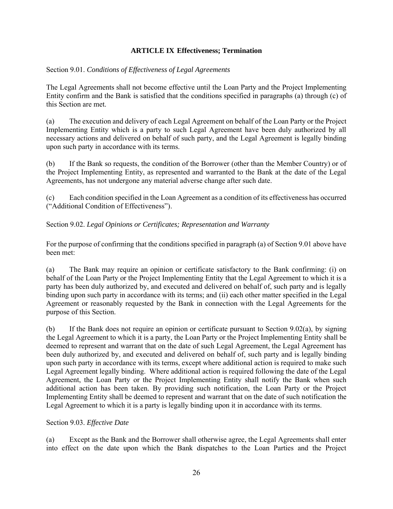#### **ARTICLE IX Effectiveness; Termination**

#### <span id="page-30-1"></span><span id="page-30-0"></span>Section 9.01. *Conditions of Effectiveness of Legal Agreements*

The Legal Agreements shall not become effective until the Loan Party and the Project Implementing Entity confirm and the Bank is satisfied that the conditions specified in paragraphs (a) through (c) of this Section are met.

(a) The execution and delivery of each Legal Agreement on behalf of the Loan Party or the Project Implementing Entity which is a party to such Legal Agreement have been duly authorized by all necessary actions and delivered on behalf of such party, and the Legal Agreement is legally binding upon such party in accordance with its terms.

(b) If the Bank so requests, the condition of the Borrower (other than the Member Country) or of the Project Implementing Entity, as represented and warranted to the Bank at the date of the Legal Agreements, has not undergone any material adverse change after such date.

(c) Each condition specified in the Loan Agreement as a condition of its effectiveness has occurred ("Additional Condition of Effectiveness").

#### <span id="page-30-2"></span>Section 9.02. *Legal Opinions or Certificates; Representation and Warranty*

For the purpose of confirming that the conditions specified in paragraph (a) of Section 9.01 above have been met:

(a) The Bank may require an opinion or certificate satisfactory to the Bank confirming: (i) on behalf of the Loan Party or the Project Implementing Entity that the Legal Agreement to which it is a party has been duly authorized by, and executed and delivered on behalf of, such party and is legally binding upon such party in accordance with its terms; and (ii) each other matter specified in the Legal Agreement or reasonably requested by the Bank in connection with the Legal Agreements for the purpose of this Section.

(b) If the Bank does not require an opinion or certificate pursuant to Section 9.02(a), by signing the Legal Agreement to which it is a party, the Loan Party or the Project Implementing Entity shall be deemed to represent and warrant that on the date of such Legal Agreement, the Legal Agreement has been duly authorized by, and executed and delivered on behalf of, such party and is legally binding upon such party in accordance with its terms, except where additional action is required to make such Legal Agreement legally binding. Where additional action is required following the date of the Legal Agreement, the Loan Party or the Project Implementing Entity shall notify the Bank when such additional action has been taken. By providing such notification, the Loan Party or the Project Implementing Entity shall be deemed to represent and warrant that on the date of such notification the Legal Agreement to which it is a party is legally binding upon it in accordance with its terms.

#### <span id="page-30-3"></span>Section 9.03. *Effective Date*

(a) Except as the Bank and the Borrower shall otherwise agree, the Legal Agreements shall enter into effect on the date upon which the Bank dispatches to the Loan Parties and the Project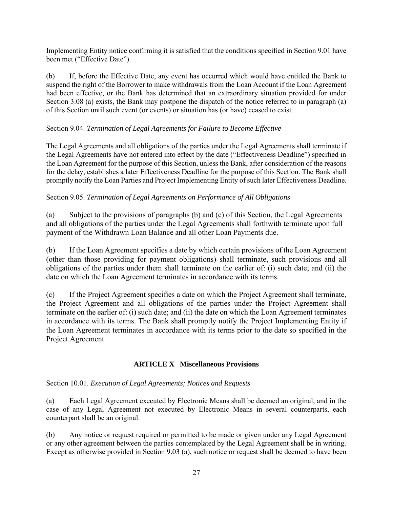Implementing Entity notice confirming it is satisfied that the conditions specified in Section 9.01 have been met ("Effective Date").

(b) If, before the Effective Date, any event has occurred which would have entitled the Bank to suspend the right of the Borrower to make withdrawals from the Loan Account if the Loan Agreement had been effective, or the Bank has determined that an extraordinary situation provided for under Section 3.08 (a) exists, the Bank may postpone the dispatch of the notice referred to in paragraph (a) of this Section until such event (or events) or situation has (or have) ceased to exist.

#### <span id="page-31-0"></span>Section 9.04. *Termination of Legal Agreements for Failure to Become Effective*

The Legal Agreements and all obligations of the parties under the Legal Agreements shall terminate if the Legal Agreements have not entered into effect by the date ("Effectiveness Deadline") specified in the Loan Agreement for the purpose of this Section, unless the Bank, after consideration of the reasons for the delay, establishes a later Effectiveness Deadline for the purpose of this Section. The Bank shall promptly notify the Loan Parties and Project Implementing Entity of such later Effectiveness Deadline.

#### <span id="page-31-1"></span>Section 9.05. *Termination of Legal Agreements on Performance of All Obligations*

(a) Subject to the provisions of paragraphs (b) and (c) of this Section, the Legal Agreements and all obligations of the parties under the Legal Agreements shall forthwith terminate upon full payment of the Withdrawn Loan Balance and all other Loan Payments due.

(b) If the Loan Agreement specifies a date by which certain provisions of the Loan Agreement (other than those providing for payment obligations) shall terminate, such provisions and all obligations of the parties under them shall terminate on the earlier of: (i) such date; and (ii) the date on which the Loan Agreement terminates in accordance with its terms.

(c) If the Project Agreement specifies a date on which the Project Agreement shall terminate, the Project Agreement and all obligations of the parties under the Project Agreement shall terminate on the earlier of: (i) such date; and (ii) the date on which the Loan Agreement terminates in accordance with its terms. The Bank shall promptly notify the Project Implementing Entity if the Loan Agreement terminates in accordance with its terms prior to the date so specified in the Project Agreement.

#### **ARTICLE X Miscellaneous Provisions**

#### <span id="page-31-3"></span><span id="page-31-2"></span>Section 10.01. *Execution of Legal Agreements; Notices and Requests*

(a) Each Legal Agreement executed by Electronic Means shall be deemed an original, and in the case of any Legal Agreement not executed by Electronic Means in several counterparts, each counterpart shall be an original.

(b) Any notice or request required or permitted to be made or given under any Legal Agreement or any other agreement between the parties contemplated by the Legal Agreement shall be in writing. Except as otherwise provided in Section 9.03 (a), such notice or request shall be deemed to have been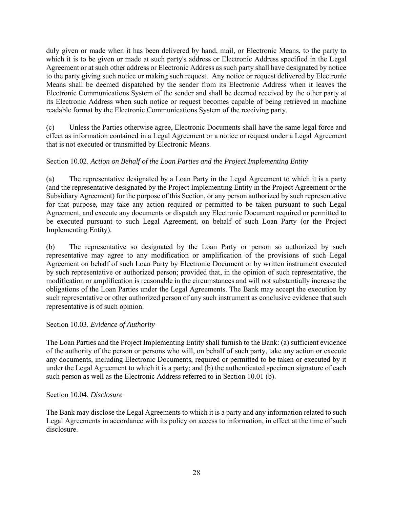duly given or made when it has been delivered by hand, mail, or Electronic Means, to the party to which it is to be given or made at such party's address or Electronic Address specified in the Legal Agreement or at such other address or Electronic Address as such party shall have designated by notice to the party giving such notice or making such request. Any notice or request delivered by Electronic Means shall be deemed dispatched by the sender from its Electronic Address when it leaves the Electronic Communications System of the sender and shall be deemed received by the other party at its Electronic Address when such notice or request becomes capable of being retrieved in machine readable format by the Electronic Communications System of the receiving party.

(c) Unless the Parties otherwise agree, Electronic Documents shall have the same legal force and effect as information contained in a Legal Agreement or a notice or request under a Legal Agreement that is not executed or transmitted by Electronic Means.

#### <span id="page-32-0"></span>Section 10.02. *Action on Behalf of the Loan Parties and the Project Implementing Entity*

(a) The representative designated by a Loan Party in the Legal Agreement to which it is a party (and the representative designated by the Project Implementing Entity in the Project Agreement or the Subsidiary Agreement) for the purpose of this Section, or any person authorized by such representative for that purpose, may take any action required or permitted to be taken pursuant to such Legal Agreement, and execute any documents or dispatch any Electronic Document required or permitted to be executed pursuant to such Legal Agreement, on behalf of such Loan Party (or the Project Implementing Entity).

(b) The representative so designated by the Loan Party or person so authorized by such representative may agree to any modification or amplification of the provisions of such Legal Agreement on behalf of such Loan Party by Electronic Document or by written instrument executed by such representative or authorized person; provided that, in the opinion of such representative, the modification or amplification is reasonable in the circumstances and will not substantially increase the obligations of the Loan Parties under the Legal Agreements. The Bank may accept the execution by such representative or other authorized person of any such instrument as conclusive evidence that such representative is of such opinion.

#### <span id="page-32-1"></span>Section 10.03. *Evidence of Authority*

The Loan Parties and the Project Implementing Entity shall furnish to the Bank: (a) sufficient evidence of the authority of the person or persons who will, on behalf of such party, take any action or execute any documents, including Electronic Documents, required or permitted to be taken or executed by it under the Legal Agreement to which it is a party; and (b) the authenticated specimen signature of each such person as well as the Electronic Address referred to in Section 10.01 (b).

#### <span id="page-32-2"></span>Section 10.04. *Disclosure*

The Bank may disclose the Legal Agreements to which it is a party and any information related to such Legal Agreements in accordance with its policy on access to information, in effect at the time of such disclosure.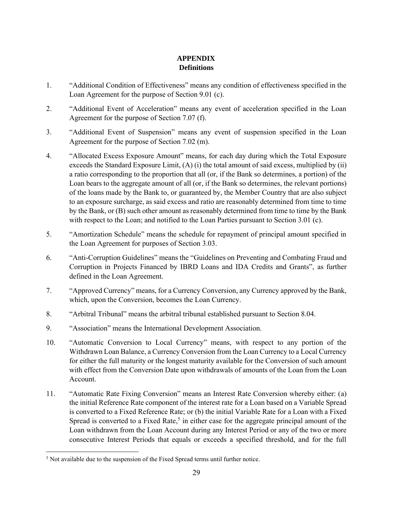#### **APPENDIX Definitions**

- <span id="page-33-0"></span>1. "Additional Condition of Effectiveness" means any condition of effectiveness specified in the Loan Agreement for the purpose of Section 9.01 (c).
- 2. "Additional Event of Acceleration" means any event of acceleration specified in the Loan Agreement for the purpose of Section 7.07 (f).
- 3. "Additional Event of Suspension" means any event of suspension specified in the Loan Agreement for the purpose of Section 7.02 (m).
- 4. "Allocated Excess Exposure Amount" means, for each day during which the Total Exposure exceeds the Standard Exposure Limit, (A) (i) the total amount of said excess, multiplied by (ii) a ratio corresponding to the proportion that all (or, if the Bank so determines, a portion) of the Loan bears to the aggregate amount of all (or, if the Bank so determines, the relevant portions) of the loans made by the Bank to, or guaranteed by, the Member Country that are also subject to an exposure surcharge, as said excess and ratio are reasonably determined from time to time by the Bank, or (B) such other amount as reasonably determined from time to time by the Bank with respect to the Loan; and notified to the Loan Parties pursuant to Section 3.01 (c).
- 5. "Amortization Schedule" means the schedule for repayment of principal amount specified in the Loan Agreement for purposes of Section 3.03.
- 6. "Anti-Corruption Guidelines" means the "Guidelines on Preventing and Combating Fraud and Corruption in Projects Financed by IBRD Loans and IDA Credits and Grants", as further defined in the Loan Agreement.
- 7. "Approved Currency" means, for a Currency Conversion, any Currency approved by the Bank, which, upon the Conversion, becomes the Loan Currency.
- 8. "Arbitral Tribunal" means the arbitral tribunal established pursuant to Section 8.04.
- 9. "Association" means the International Development Association.
- 10. "Automatic Conversion to Local Currency" means, with respect to any portion of the Withdrawn Loan Balance, a Currency Conversion from the Loan Currency to a Local Currency for either the full maturity or the longest maturity available for the Conversion of such amount with effect from the Conversion Date upon withdrawals of amounts of the Loan from the Loan Account.
- 11. "Automatic Rate Fixing Conversion" means an Interest Rate Conversion whereby either: (a) the initial Reference Rate component of the interest rate for a Loan based on a Variable Spread is converted to a Fixed Reference Rate; or (b) the initial Variable Rate for a Loan with a Fixed Spread is converted to a Fixed Rate,<sup>5</sup> in either case for the aggregate principal amount of the Loan withdrawn from the Loan Account during any Interest Period or any of the two or more consecutive Interest Periods that equals or exceeds a specified threshold, and for the full

<sup>5</sup> Not available due to the suspension of the Fixed Spread terms until further notice.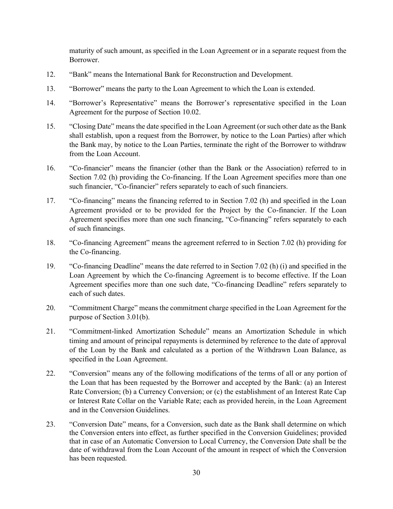maturity of such amount, as specified in the Loan Agreement or in a separate request from the Borrower.

- 12. "Bank" means the International Bank for Reconstruction and Development.
- 13. "Borrower" means the party to the Loan Agreement to which the Loan is extended.
- 14. "Borrower's Representative" means the Borrower's representative specified in the Loan Agreement for the purpose of Section 10.02.
- 15. "Closing Date" means the date specified in the Loan Agreement (or such other date as the Bank shall establish, upon a request from the Borrower, by notice to the Loan Parties) after which the Bank may, by notice to the Loan Parties, terminate the right of the Borrower to withdraw from the Loan Account.
- 16. "Co-financier" means the financier (other than the Bank or the Association) referred to in Section 7.02 (h) providing the Co-financing. If the Loan Agreement specifies more than one such financier, "Co-financier" refers separately to each of such financiers.
- 17. "Co-financing" means the financing referred to in Section 7.02 (h) and specified in the Loan Agreement provided or to be provided for the Project by the Co-financier. If the Loan Agreement specifies more than one such financing, "Co-financing" refers separately to each of such financings.
- 18. "Co-financing Agreement" means the agreement referred to in Section 7.02 (h) providing for the Co-financing.
- 19. "Co-financing Deadline" means the date referred to in Section 7.02 (h) (i) and specified in the Loan Agreement by which the Co-financing Agreement is to become effective. If the Loan Agreement specifies more than one such date, "Co-financing Deadline" refers separately to each of such dates.
- 20. "Commitment Charge" means the commitment charge specified in the Loan Agreement for the purpose of Section 3.01(b).
- 21. "Commitment-linked Amortization Schedule" means an Amortization Schedule in which timing and amount of principal repayments is determined by reference to the date of approval of the Loan by the Bank and calculated as a portion of the Withdrawn Loan Balance, as specified in the Loan Agreement.
- 22. "Conversion" means any of the following modifications of the terms of all or any portion of the Loan that has been requested by the Borrower and accepted by the Bank: (a) an Interest Rate Conversion; (b) a Currency Conversion; or (c) the establishment of an Interest Rate Cap or Interest Rate Collar on the Variable Rate; each as provided herein, in the Loan Agreement and in the Conversion Guidelines.
- 23. "Conversion Date" means, for a Conversion, such date as the Bank shall determine on which the Conversion enters into effect, as further specified in the Conversion Guidelines; provided that in case of an Automatic Conversion to Local Currency, the Conversion Date shall be the date of withdrawal from the Loan Account of the amount in respect of which the Conversion has been requested.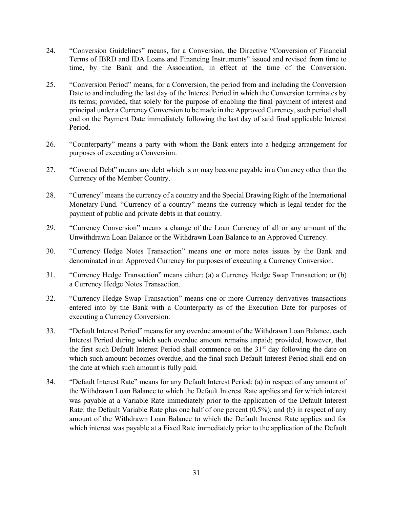- 24. "Conversion Guidelines" means, for a Conversion, the Directive "Conversion of Financial Terms of IBRD and IDA Loans and Financing Instruments" issued and revised from time to time, by the Bank and the Association, in effect at the time of the Conversion.
- 25. "Conversion Period" means, for a Conversion, the period from and including the Conversion Date to and including the last day of the Interest Period in which the Conversion terminates by its terms; provided, that solely for the purpose of enabling the final payment of interest and principal under a Currency Conversion to be made in the Approved Currency, such period shall end on the Payment Date immediately following the last day of said final applicable Interest Period.
- 26. "Counterparty" means a party with whom the Bank enters into a hedging arrangement for purposes of executing a Conversion.
- 27. "Covered Debt" means any debt which is or may become payable in a Currency other than the Currency of the Member Country.
- 28. "Currency" means the currency of a country and the Special Drawing Right of the International Monetary Fund. "Currency of a country" means the currency which is legal tender for the payment of public and private debts in that country.
- 29. "Currency Conversion" means a change of the Loan Currency of all or any amount of the Unwithdrawn Loan Balance or the Withdrawn Loan Balance to an Approved Currency.
- 30. "Currency Hedge Notes Transaction" means one or more notes issues by the Bank and denominated in an Approved Currency for purposes of executing a Currency Conversion.
- 31. "Currency Hedge Transaction" means either: (a) a Currency Hedge Swap Transaction; or (b) a Currency Hedge Notes Transaction.
- 32. "Currency Hedge Swap Transaction" means one or more Currency derivatives transactions entered into by the Bank with a Counterparty as of the Execution Date for purposes of executing a Currency Conversion.
- 33. "Default Interest Period" means for any overdue amount of the Withdrawn Loan Balance, each Interest Period during which such overdue amount remains unpaid; provided, however, that the first such Default Interest Period shall commence on the  $31<sup>st</sup>$  day following the date on which such amount becomes overdue, and the final such Default Interest Period shall end on the date at which such amount is fully paid.
- 34. "Default Interest Rate" means for any Default Interest Period: (a) in respect of any amount of the Withdrawn Loan Balance to which the Default Interest Rate applies and for which interest was payable at a Variable Rate immediately prior to the application of the Default Interest Rate: the Default Variable Rate plus one half of one percent (0.5%); and (b) in respect of any amount of the Withdrawn Loan Balance to which the Default Interest Rate applies and for which interest was payable at a Fixed Rate immediately prior to the application of the Default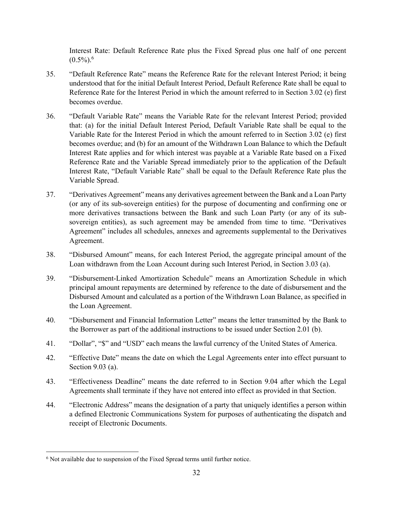Interest Rate: Default Reference Rate plus the Fixed Spread plus one half of one percent  $(0.5\%)$ .<sup>6</sup>

- 35. "Default Reference Rate" means the Reference Rate for the relevant Interest Period; it being understood that for the initial Default Interest Period, Default Reference Rate shall be equal to Reference Rate for the Interest Period in which the amount referred to in Section 3.02 (e) first becomes overdue.
- 36. "Default Variable Rate" means the Variable Rate for the relevant Interest Period; provided that: (a) for the initial Default Interest Period, Default Variable Rate shall be equal to the Variable Rate for the Interest Period in which the amount referred to in Section 3.02 (e) first becomes overdue; and (b) for an amount of the Withdrawn Loan Balance to which the Default Interest Rate applies and for which interest was payable at a Variable Rate based on a Fixed Reference Rate and the Variable Spread immediately prior to the application of the Default Interest Rate, "Default Variable Rate" shall be equal to the Default Reference Rate plus the Variable Spread.
- 37. "Derivatives Agreement" means any derivatives agreement between the Bank and a Loan Party (or any of its sub-sovereign entities) for the purpose of documenting and confirming one or more derivatives transactions between the Bank and such Loan Party (or any of its subsovereign entities), as such agreement may be amended from time to time. "Derivatives Agreement" includes all schedules, annexes and agreements supplemental to the Derivatives Agreement.
- 38. "Disbursed Amount" means, for each Interest Period, the aggregate principal amount of the Loan withdrawn from the Loan Account during such Interest Period, in Section 3.03 (a).
- 39. "Disbursement-Linked Amortization Schedule" means an Amortization Schedule in which principal amount repayments are determined by reference to the date of disbursement and the Disbursed Amount and calculated as a portion of the Withdrawn Loan Balance, as specified in the Loan Agreement.
- 40. "Disbursement and Financial Information Letter" means the letter transmitted by the Bank to the Borrower as part of the additional instructions to be issued under Section 2.01 (b).
- 41. "Dollar", "\$" and "USD" each means the lawful currency of the United States of America.
- 42. "Effective Date" means the date on which the Legal Agreements enter into effect pursuant to Section 9.03 (a).
- 43. "Effectiveness Deadline" means the date referred to in Section 9.04 after which the Legal Agreements shall terminate if they have not entered into effect as provided in that Section.
- 44. "Electronic Address" means the designation of a party that uniquely identifies a person within a defined Electronic Communications System for purposes of authenticating the dispatch and receipt of Electronic Documents.

<sup>&</sup>lt;sup>6</sup> Not available due to suspension of the Fixed Spread terms until further notice.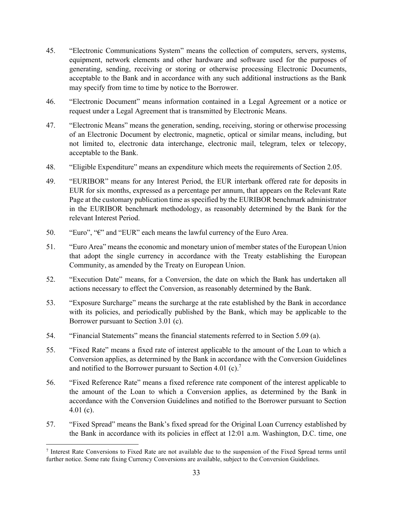- 45. "Electronic Communications System" means the collection of computers, servers, systems, equipment, network elements and other hardware and software used for the purposes of generating, sending, receiving or storing or otherwise processing Electronic Documents, acceptable to the Bank and in accordance with any such additional instructions as the Bank may specify from time to time by notice to the Borrower.
- 46. "Electronic Document" means information contained in a Legal Agreement or a notice or request under a Legal Agreement that is transmitted by Electronic Means.
- 47. "Electronic Means" means the generation, sending, receiving, storing or otherwise processing of an Electronic Document by electronic, magnetic, optical or similar means, including, but not limited to, electronic data interchange, electronic mail, telegram, telex or telecopy, acceptable to the Bank.
- 48. "Eligible Expenditure" means an expenditure which meets the requirements of Section 2.05.
- 49. "EURIBOR" means for any Interest Period, the EUR interbank offered rate for deposits in EUR for six months, expressed as a percentage per annum, that appears on the Relevant Rate Page at the customary publication time as specified by the EURIBOR benchmark administrator in the EURIBOR benchmark methodology, as reasonably determined by the Bank for the relevant Interest Period.
- 50. "Euro", "€" and "EUR" each means the lawful currency of the Euro Area.
- 51. "Euro Area" means the economic and monetary union of member states of the European Union that adopt the single currency in accordance with the Treaty establishing the European Community, as amended by the Treaty on European Union.
- 52. "Execution Date" means, for a Conversion, the date on which the Bank has undertaken all actions necessary to effect the Conversion, as reasonably determined by the Bank.
- 53. "Exposure Surcharge" means the surcharge at the rate established by the Bank in accordance with its policies, and periodically published by the Bank, which may be applicable to the Borrower pursuant to Section 3.01 (c).
- 54. "Financial Statements" means the financial statements referred to in Section 5.09 (a).
- 55. "Fixed Rate" means a fixed rate of interest applicable to the amount of the Loan to which a Conversion applies, as determined by the Bank in accordance with the Conversion Guidelines and notified to the Borrower pursuant to Section 4.01 (c).<sup>7</sup>
- 56. "Fixed Reference Rate" means a fixed reference rate component of the interest applicable to the amount of the Loan to which a Conversion applies, as determined by the Bank in accordance with the Conversion Guidelines and notified to the Borrower pursuant to Section 4.01 (c).
- 57. "Fixed Spread" means the Bank's fixed spread for the Original Loan Currency established by the Bank in accordance with its policies in effect at 12:01 a.m. Washington, D.C. time, one

<sup>7</sup> Interest Rate Conversions to Fixed Rate are not available due to the suspension of the Fixed Spread terms until further notice. Some rate fixing Currency Conversions are available, subject to the Conversion Guidelines.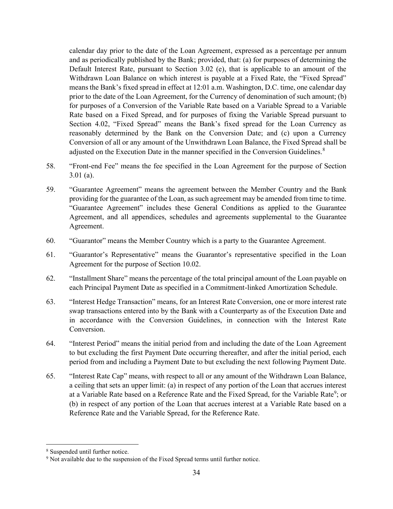calendar day prior to the date of the Loan Agreement, expressed as a percentage per annum and as periodically published by the Bank; provided, that: (a) for purposes of determining the Default Interest Rate, pursuant to Section 3.02 (e), that is applicable to an amount of the Withdrawn Loan Balance on which interest is payable at a Fixed Rate, the "Fixed Spread" means the Bank's fixed spread in effect at 12:01 a.m. Washington, D.C. time, one calendar day prior to the date of the Loan Agreement, for the Currency of denomination of such amount; (b) for purposes of a Conversion of the Variable Rate based on a Variable Spread to a Variable Rate based on a Fixed Spread, and for purposes of fixing the Variable Spread pursuant to Section 4.02, "Fixed Spread" means the Bank's fixed spread for the Loan Currency as reasonably determined by the Bank on the Conversion Date; and (c) upon a Currency Conversion of all or any amount of the Unwithdrawn Loan Balance, the Fixed Spread shall be adjusted on the Execution Date in the manner specified in the Conversion Guidelines.<sup>8</sup>

- 58. "Front-end Fee" means the fee specified in the Loan Agreement for the purpose of Section 3.01 (a).
- 59. "Guarantee Agreement" means the agreement between the Member Country and the Bank providing for the guarantee of the Loan, as such agreement may be amended from time to time. "Guarantee Agreement" includes these General Conditions as applied to the Guarantee Agreement, and all appendices, schedules and agreements supplemental to the Guarantee Agreement.
- 60. "Guarantor" means the Member Country which is a party to the Guarantee Agreement.
- 61. "Guarantor's Representative" means the Guarantor's representative specified in the Loan Agreement for the purpose of Section 10.02.
- 62. "Installment Share" means the percentage of the total principal amount of the Loan payable on each Principal Payment Date as specified in a Commitment-linked Amortization Schedule.
- 63. "Interest Hedge Transaction" means, for an Interest Rate Conversion, one or more interest rate swap transactions entered into by the Bank with a Counterparty as of the Execution Date and in accordance with the Conversion Guidelines, in connection with the Interest Rate Conversion.
- 64. "Interest Period" means the initial period from and including the date of the Loan Agreement to but excluding the first Payment Date occurring thereafter, and after the initial period, each period from and including a Payment Date to but excluding the next following Payment Date.
- 65. "Interest Rate Cap" means, with respect to all or any amount of the Withdrawn Loan Balance, a ceiling that sets an upper limit: (a) in respect of any portion of the Loan that accrues interest at a Variable Rate based on a Reference Rate and the Fixed Spread, for the Variable Rate<sup>9</sup>; or (b) in respect of any portion of the Loan that accrues interest at a Variable Rate based on a Reference Rate and the Variable Spread, for the Reference Rate.

<sup>8</sup> Suspended until further notice.

<sup>&</sup>lt;sup>9</sup> Not available due to the suspension of the Fixed Spread terms until further notice.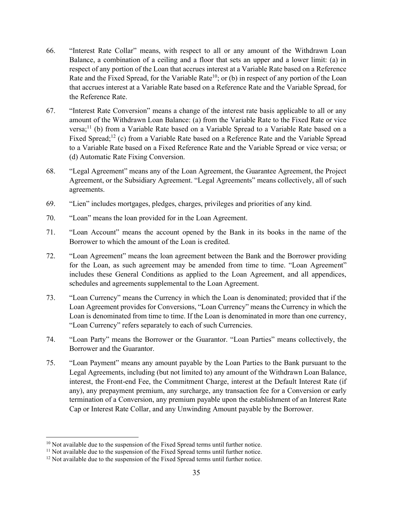- 66. "Interest Rate Collar" means, with respect to all or any amount of the Withdrawn Loan Balance, a combination of a ceiling and a floor that sets an upper and a lower limit: (a) in respect of any portion of the Loan that accrues interest at a Variable Rate based on a Reference Rate and the Fixed Spread, for the Variable Rate<sup>10</sup>; or (b) in respect of any portion of the Loan that accrues interest at a Variable Rate based on a Reference Rate and the Variable Spread, for the Reference Rate.
- 67. "Interest Rate Conversion" means a change of the interest rate basis applicable to all or any amount of the Withdrawn Loan Balance: (a) from the Variable Rate to the Fixed Rate or vice versa; <sup>11</sup> (b) from a Variable Rate based on a Variable Spread to a Variable Rate based on a Fixed Spread;<sup>12</sup> (c) from a Variable Rate based on a Reference Rate and the Variable Spread to a Variable Rate based on a Fixed Reference Rate and the Variable Spread or vice versa; or (d) Automatic Rate Fixing Conversion.
- 68. "Legal Agreement" means any of the Loan Agreement, the Guarantee Agreement, the Project Agreement, or the Subsidiary Agreement. "Legal Agreements" means collectively, all of such agreements.
- 69. "Lien" includes mortgages, pledges, charges, privileges and priorities of any kind.
- 70. "Loan" means the loan provided for in the Loan Agreement.
- 71. "Loan Account" means the account opened by the Bank in its books in the name of the Borrower to which the amount of the Loan is credited.
- 72. "Loan Agreement" means the loan agreement between the Bank and the Borrower providing for the Loan, as such agreement may be amended from time to time. "Loan Agreement" includes these General Conditions as applied to the Loan Agreement, and all appendices, schedules and agreements supplemental to the Loan Agreement.
- 73. "Loan Currency" means the Currency in which the Loan is denominated; provided that if the Loan Agreement provides for Conversions, "Loan Currency" means the Currency in which the Loan is denominated from time to time. If the Loan is denominated in more than one currency, "Loan Currency" refers separately to each of such Currencies.
- 74. "Loan Party" means the Borrower or the Guarantor. "Loan Parties" means collectively, the Borrower and the Guarantor.
- 75. "Loan Payment" means any amount payable by the Loan Parties to the Bank pursuant to the Legal Agreements, including (but not limited to) any amount of the Withdrawn Loan Balance, interest, the Front-end Fee, the Commitment Charge, interest at the Default Interest Rate (if any), any prepayment premium, any surcharge, any transaction fee for a Conversion or early termination of a Conversion, any premium payable upon the establishment of an Interest Rate Cap or Interest Rate Collar, and any Unwinding Amount payable by the Borrower.

<sup>&</sup>lt;sup>10</sup> Not available due to the suspension of the Fixed Spread terms until further notice.

 $11$  Not available due to the suspension of the Fixed Spread terms until further notice.

<sup>&</sup>lt;sup>12</sup> Not available due to the suspension of the Fixed Spread terms until further notice.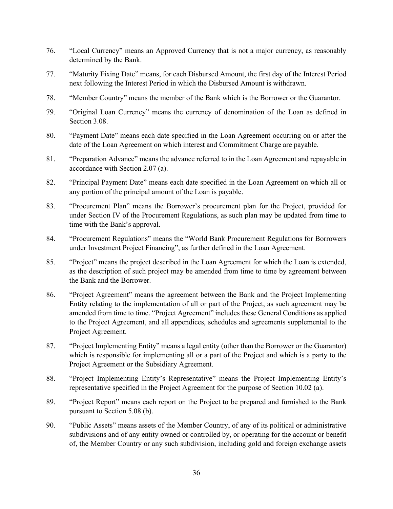- 76. "Local Currency" means an Approved Currency that is not a major currency, as reasonably determined by the Bank.
- 77. "Maturity Fixing Date" means, for each Disbursed Amount, the first day of the Interest Period next following the Interest Period in which the Disbursed Amount is withdrawn.
- 78. "Member Country" means the member of the Bank which is the Borrower or the Guarantor.
- 79. "Original Loan Currency" means the currency of denomination of the Loan as defined in Section 3.08.
- 80. "Payment Date" means each date specified in the Loan Agreement occurring on or after the date of the Loan Agreement on which interest and Commitment Charge are payable.
- 81. "Preparation Advance" means the advance referred to in the Loan Agreement and repayable in accordance with Section 2.07 (a).
- 82. "Principal Payment Date" means each date specified in the Loan Agreement on which all or any portion of the principal amount of the Loan is payable.
- 83. "Procurement Plan" means the Borrower's procurement plan for the Project, provided for under Section IV of the Procurement Regulations, as such plan may be updated from time to time with the Bank's approval.
- 84. "Procurement Regulations" means the "World Bank Procurement Regulations for Borrowers under Investment Project Financing", as further defined in the Loan Agreement.
- 85. "Project" means the project described in the Loan Agreement for which the Loan is extended, as the description of such project may be amended from time to time by agreement between the Bank and the Borrower.
- 86. "Project Agreement" means the agreement between the Bank and the Project Implementing Entity relating to the implementation of all or part of the Project, as such agreement may be amended from time to time. "Project Agreement" includes these General Conditions as applied to the Project Agreement, and all appendices, schedules and agreements supplemental to the Project Agreement.
- 87. "Project Implementing Entity" means a legal entity (other than the Borrower or the Guarantor) which is responsible for implementing all or a part of the Project and which is a party to the Project Agreement or the Subsidiary Agreement.
- 88. "Project Implementing Entity's Representative" means the Project Implementing Entity's representative specified in the Project Agreement for the purpose of Section 10.02 (a).
- 89. "Project Report" means each report on the Project to be prepared and furnished to the Bank pursuant to Section 5.08 (b).
- 90. "Public Assets" means assets of the Member Country, of any of its political or administrative subdivisions and of any entity owned or controlled by, or operating for the account or benefit of, the Member Country or any such subdivision, including gold and foreign exchange assets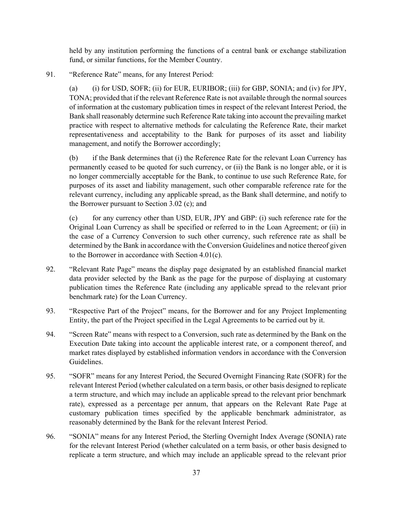held by any institution performing the functions of a central bank or exchange stabilization fund, or similar functions, for the Member Country.

91. "Reference Rate" means, for any Interest Period:

(a) (i) for USD, SOFR; (ii) for EUR, EURIBOR; (iii) for GBP, SONIA; and (iv) for JPY, TONA; provided that if the relevant Reference Rate is not available through the normal sources of information at the customary publication times in respect of the relevant Interest Period, the Bank shall reasonably determine such Reference Rate taking into account the prevailing market practice with respect to alternative methods for calculating the Reference Rate, their market representativeness and acceptability to the Bank for purposes of its asset and liability management, and notify the Borrower accordingly;

(b) if the Bank determines that (i) the Reference Rate for the relevant Loan Currency has permanently ceased to be quoted for such currency, or (ii) the Bank is no longer able, or it is no longer commercially acceptable for the Bank, to continue to use such Reference Rate, for purposes of its asset and liability management, such other comparable reference rate for the relevant currency, including any applicable spread, as the Bank shall determine, and notify to the Borrower pursuant to Section 3.02 (c); and

(c) for any currency other than USD, EUR, JPY and GBP: (i) such reference rate for the Original Loan Currency as shall be specified or referred to in the Loan Agreement; or (ii) in the case of a Currency Conversion to such other currency, such reference rate as shall be determined by the Bank in accordance with the Conversion Guidelines and notice thereof given to the Borrower in accordance with Section 4.01(c).

- 92. "Relevant Rate Page" means the display page designated by an established financial market data provider selected by the Bank as the page for the purpose of displaying at customary publication times the Reference Rate (including any applicable spread to the relevant prior benchmark rate) for the Loan Currency.
- 93. "Respective Part of the Project" means, for the Borrower and for any Project Implementing Entity, the part of the Project specified in the Legal Agreements to be carried out by it.
- 94. "Screen Rate" means with respect to a Conversion, such rate as determined by the Bank on the Execution Date taking into account the applicable interest rate, or a component thereof, and market rates displayed by established information vendors in accordance with the Conversion Guidelines.
- 95. "SOFR" means for any Interest Period, the Secured Overnight Financing Rate (SOFR) for the relevant Interest Period (whether calculated on a term basis, or other basis designed to replicate a term structure, and which may include an applicable spread to the relevant prior benchmark rate), expressed as a percentage per annum, that appears on the Relevant Rate Page at customary publication times specified by the applicable benchmark administrator, as reasonably determined by the Bank for the relevant Interest Period.
- 96. "SONIA" means for any Interest Period, the Sterling Overnight Index Average (SONIA) rate for the relevant Interest Period (whether calculated on a term basis, or other basis designed to replicate a term structure, and which may include an applicable spread to the relevant prior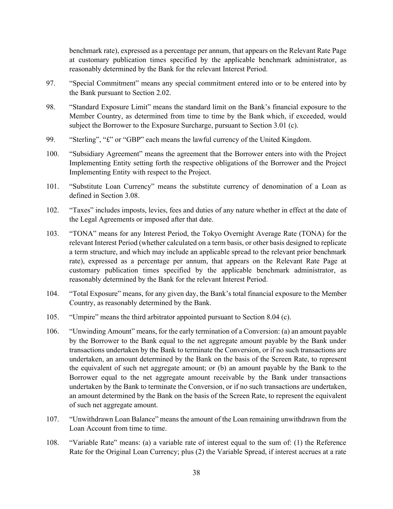benchmark rate), expressed as a percentage per annum, that appears on the Relevant Rate Page at customary publication times specified by the applicable benchmark administrator, as reasonably determined by the Bank for the relevant Interest Period.

- 97. "Special Commitment" means any special commitment entered into or to be entered into by the Bank pursuant to Section 2.02.
- 98. "Standard Exposure Limit" means the standard limit on the Bank's financial exposure to the Member Country, as determined from time to time by the Bank which, if exceeded, would subject the Borrower to the Exposure Surcharge, pursuant to Section 3.01 (c).
- 99. "Sterling", "£" or "GBP" each means the lawful currency of the United Kingdom.
- 100. "Subsidiary Agreement" means the agreement that the Borrower enters into with the Project Implementing Entity setting forth the respective obligations of the Borrower and the Project Implementing Entity with respect to the Project.
- 101. "Substitute Loan Currency" means the substitute currency of denomination of a Loan as defined in Section 3.08.
- 102. "Taxes" includes imposts, levies, fees and duties of any nature whether in effect at the date of the Legal Agreements or imposed after that date.
- 103. "TONA" means for any Interest Period, the Tokyo Overnight Average Rate (TONA) for the relevant Interest Period (whether calculated on a term basis, or other basis designed to replicate a term structure, and which may include an applicable spread to the relevant prior benchmark rate), expressed as a percentage per annum, that appears on the Relevant Rate Page at customary publication times specified by the applicable benchmark administrator, as reasonably determined by the Bank for the relevant Interest Period.
- 104. "Total Exposure" means, for any given day, the Bank's total financial exposure to the Member Country, as reasonably determined by the Bank.
- 105. "Umpire" means the third arbitrator appointed pursuant to Section 8.04 (c).
- 106. "Unwinding Amount" means, for the early termination of a Conversion: (a) an amount payable by the Borrower to the Bank equal to the net aggregate amount payable by the Bank under transactions undertaken by the Bank to terminate the Conversion, or if no such transactions are undertaken, an amount determined by the Bank on the basis of the Screen Rate, to represent the equivalent of such net aggregate amount; or (b) an amount payable by the Bank to the Borrower equal to the net aggregate amount receivable by the Bank under transactions undertaken by the Bank to terminate the Conversion, or if no such transactions are undertaken, an amount determined by the Bank on the basis of the Screen Rate, to represent the equivalent of such net aggregate amount.
- 107. "Unwithdrawn Loan Balance" means the amount of the Loan remaining unwithdrawn from the Loan Account from time to time.
- 108. "Variable Rate" means: (a) a variable rate of interest equal to the sum of: (1) the Reference Rate for the Original Loan Currency; plus (2) the Variable Spread, if interest accrues at a rate